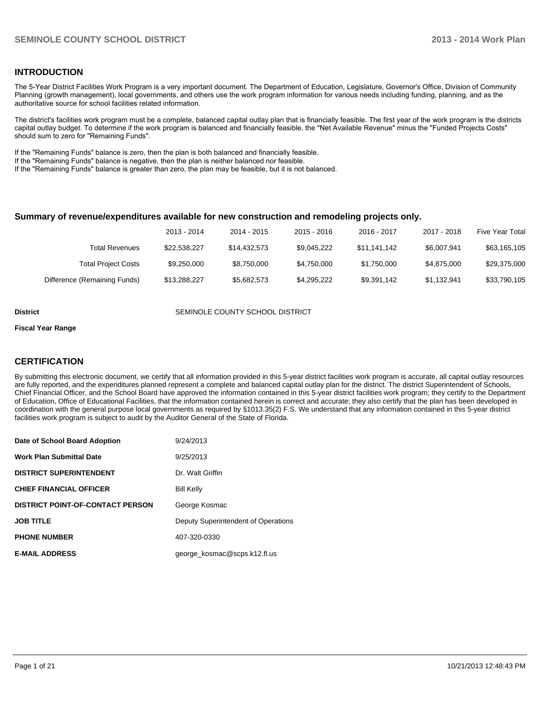### **INTRODUCTION**

The 5-Year District Facilities Work Program is a very important document. The Department of Education, Legislature, Governor's Office, Division of Community Planning (growth management), local governments, and others use the work program information for various needs including funding, planning, and as the authoritative source for school facilities related information.

The district's facilities work program must be a complete, balanced capital outlay plan that is financially feasible. The first year of the work program is the districts capital outlay budget. To determine if the work program is balanced and financially feasible, the "Net Available Revenue" minus the "Funded Projects Costs" should sum to zero for "Remaining Funds".

If the "Remaining Funds" balance is zero, then the plan is both balanced and financially feasible.

If the "Remaining Funds" balance is negative, then the plan is neither balanced nor feasible.

If the "Remaining Funds" balance is greater than zero, the plan may be feasible, but it is not balanced.

### **Summary of revenue/expenditures available for new construction and remodeling projects only.**

|                              | 2013 - 2014  | 2014 - 2015  | 2015 - 2016 | 2016 - 2017  | 2017 - 2018 | <b>Five Year Total</b> |
|------------------------------|--------------|--------------|-------------|--------------|-------------|------------------------|
| Total Revenues               | \$22.538.227 | \$14.432.573 | \$9.045.222 | \$11.141.142 | \$6,007.941 | \$63,165,105           |
| <b>Total Project Costs</b>   | \$9,250,000  | \$8.750.000  | \$4.750.000 | \$1.750.000  | \$4.875.000 | \$29,375,000           |
| Difference (Remaining Funds) | \$13,288,227 | \$5,682,573  | \$4,295,222 | \$9,391,142  | \$1,132,941 | \$33,790,105           |

#### **District COUNTY SCHOOL DISTRICT** SEMINOLE COUNTY SCHOOL DISTRICT

#### **Fiscal Year Range**

### **CERTIFICATION**

By submitting this electronic document, we certify that all information provided in this 5-year district facilities work program is accurate, all capital outlay resources are fully reported, and the expenditures planned represent a complete and balanced capital outlay plan for the district. The district Superintendent of Schools, Chief Financial Officer, and the School Board have approved the information contained in this 5-year district facilities work program; they certify to the Department of Education, Office of Educational Facilities, that the information contained herein is correct and accurate; they also certify that the plan has been developed in coordination with the general purpose local governments as required by §1013.35(2) F.S. We understand that any information contained in this 5-year district facilities work program is subject to audit by the Auditor General of the State of Florida.

| Date of School Board Adoption           | 9/24/2013                           |
|-----------------------------------------|-------------------------------------|
| <b>Work Plan Submittal Date</b>         | 9/25/2013                           |
| <b>DISTRICT SUPERINTENDENT</b>          | Dr. Walt Griffin                    |
| <b>CHIEF FINANCIAL OFFICER</b>          | <b>Bill Kelly</b>                   |
| <b>DISTRICT POINT-OF-CONTACT PERSON</b> | George Kosmac                       |
| <b>JOB TITLE</b>                        | Deputy Superintendent of Operations |
| <b>PHONE NUMBER</b>                     | 407-320-0330                        |
| <b>E-MAIL ADDRESS</b>                   | george_kosmac@scps.k12.fl.us        |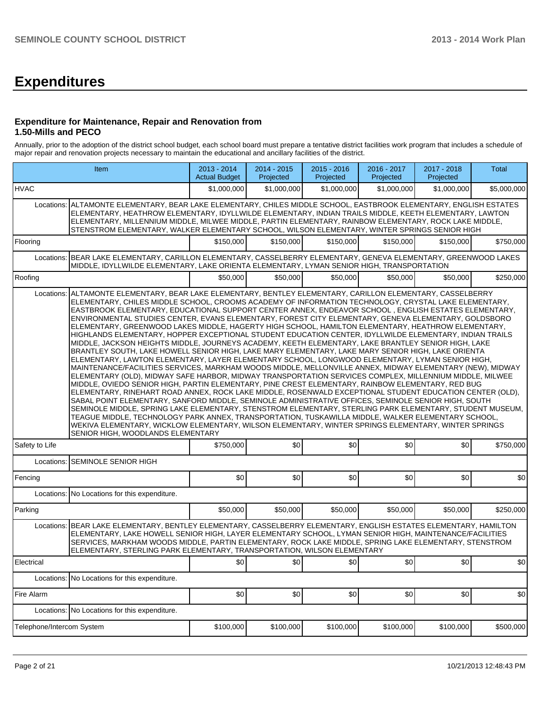# **Expenditures**

### **Expenditure for Maintenance, Repair and Renovation from 1.50-Mills and PECO**

Annually, prior to the adoption of the district school budget, each school board must prepare a tentative district facilities work program that includes a schedule of major repair and renovation projects necessary to maintain the educational and ancillary facilities of the district.

| Item                      |                                                                                                                                                                                                                                                                                                                                                                                                                                                                                                                                                                                                                                                                                                                                                                                                                                                                                                                                                                                                                                                                                                                                                                                                                                                                                                                                                                                                                                                                                                                                                                                                                                                                                                                                                                                                                                                                          | 2013 - 2014<br><b>Actual Budget</b> | 2014 - 2015<br>Projected | $2015 - 2016$<br>Projected | 2016 - 2017<br>Projected | 2017 - 2018<br>Projected | Total       |
|---------------------------|--------------------------------------------------------------------------------------------------------------------------------------------------------------------------------------------------------------------------------------------------------------------------------------------------------------------------------------------------------------------------------------------------------------------------------------------------------------------------------------------------------------------------------------------------------------------------------------------------------------------------------------------------------------------------------------------------------------------------------------------------------------------------------------------------------------------------------------------------------------------------------------------------------------------------------------------------------------------------------------------------------------------------------------------------------------------------------------------------------------------------------------------------------------------------------------------------------------------------------------------------------------------------------------------------------------------------------------------------------------------------------------------------------------------------------------------------------------------------------------------------------------------------------------------------------------------------------------------------------------------------------------------------------------------------------------------------------------------------------------------------------------------------------------------------------------------------------------------------------------------------|-------------------------------------|--------------------------|----------------------------|--------------------------|--------------------------|-------------|
| <b>HVAC</b>               |                                                                                                                                                                                                                                                                                                                                                                                                                                                                                                                                                                                                                                                                                                                                                                                                                                                                                                                                                                                                                                                                                                                                                                                                                                                                                                                                                                                                                                                                                                                                                                                                                                                                                                                                                                                                                                                                          | \$1,000,000                         | \$1,000,000              | \$1,000,000                | \$1,000,000              | \$1,000,000              | \$5,000,000 |
| Locations:                | ALTAMONTE ELEMENTARY, BEAR LAKE ELEMENTARY, CHILES MIDDLE SCHOOL, EASTBROOK ELEMENTARY, ENGLISH ESTATES<br>ELEMENTARY, HEATHROW ELEMENTARY, IDYLLWILDE ELEMENTARY, INDIAN TRAILS MIDDLE, KEETH ELEMENTARY, LAWTON<br>ELEMENTARY, MILLENNIUM MIDDLE, MILWEE MIDDLE, PARTIN ELEMENTARY, RAINBOW ELEMENTARY, ROCK LAKE MIDDLE,<br>STENSTROM ELEMENTARY, WALKER ELEMENTARY SCHOOL, WILSON ELEMENTARY, WINTER SPRINGS SENIOR HIGH                                                                                                                                                                                                                                                                                                                                                                                                                                                                                                                                                                                                                                                                                                                                                                                                                                                                                                                                                                                                                                                                                                                                                                                                                                                                                                                                                                                                                                             |                                     |                          |                            |                          |                          |             |
| Flooring                  |                                                                                                                                                                                                                                                                                                                                                                                                                                                                                                                                                                                                                                                                                                                                                                                                                                                                                                                                                                                                                                                                                                                                                                                                                                                                                                                                                                                                                                                                                                                                                                                                                                                                                                                                                                                                                                                                          | \$150,000                           | \$150,000                | \$150,000                  | \$150,000                | \$150,000                | \$750,000   |
|                           | Locations: BEAR LAKE ELEMENTARY, CARILLON ELEMENTARY, CASSELBERRY ELEMENTARY, GENEVA ELEMENTARY, GREENWOOD LAKES<br>MIDDLE, IDYLLWILDE ELEMENTARY, LAKE ORIENTA ELEMENTARY, LYMAN SENIOR HIGH, TRANSPORTATION                                                                                                                                                                                                                                                                                                                                                                                                                                                                                                                                                                                                                                                                                                                                                                                                                                                                                                                                                                                                                                                                                                                                                                                                                                                                                                                                                                                                                                                                                                                                                                                                                                                            |                                     |                          |                            |                          |                          |             |
| Roofing                   |                                                                                                                                                                                                                                                                                                                                                                                                                                                                                                                                                                                                                                                                                                                                                                                                                                                                                                                                                                                                                                                                                                                                                                                                                                                                                                                                                                                                                                                                                                                                                                                                                                                                                                                                                                                                                                                                          | \$50,000                            | \$50.000                 | \$50,000                   | \$50,000                 | \$50,000                 | \$250,000   |
| Locations:                | ALTAMONTE ELEMENTARY, BEAR LAKE ELEMENTARY, BENTLEY ELEMENTARY, CARILLON ELEMENTARY, CASSELBERRY<br>ELEMENTARY, CHILES MIDDLE SCHOOL, CROOMS ACADEMY OF INFORMATION TECHNOLOGY, CRYSTAL LAKE ELEMENTARY,<br>EASTBROOK ELEMENTARY, EDUCATIONAL SUPPORT CENTER ANNEX, ENDEAVOR SCHOOL, ENGLISH ESTATES ELEMENTARY,<br>ENVIRONMENTAL STUDIES CENTER, EVANS ELEMENTARY, FOREST CITY ELEMENTARY, GENEVA ELEMENTARY, GOLDSBORO<br>ELEMENTARY, GREENWOOD LAKES MIDDLE, HAGERTY HIGH SCHOOL, HAMILTON ELEMENTARY, HEATHROW ELEMENTARY,<br>HIGHLANDS ELEMENTARY, HOPPER EXCEPTIONAL STUDENT EDUCATION CENTER, IDYLLWILDE ELEMENTARY, INDIAN TRAILS<br>MIDDLE, JACKSON HEIGHTS MIDDLE, JOURNEYS ACADEMY, KEETH ELEMENTARY, LAKE BRANTLEY SENIOR HIGH, LAKE<br>BRANTLEY SOUTH. LAKE HOWELL SENIOR HIGH. LAKE MARY ELEMENTARY. LAKE MARY SENIOR HIGH. LAKE ORIENTA<br>ELEMENTARY, LAWTON ELEMENTARY, LAYER ELEMENTARY SCHOOL, LONGWOOD ELEMENTARY, LYMAN SENIOR HIGH.<br>MAINTENANCE/FACILITIES SERVICES. MARKHAM WOODS MIDDLE. MELLONVILLE ANNEX. MIDWAY ELEMENTARY (NEW). MIDWAY<br>ELEMENTARY (OLD), MIDWAY SAFE HARBOR, MIDWAY TRANSPORTATION SERVICES COMPLEX, MILLENNIUM MIDDLE, MILWEE<br>MIDDLE, OVIEDO SENIOR HIGH, PARTIN ELEMENTARY, PINE CREST ELEMENTARY, RAINBOW ELEMENTARY, RED BUG<br>ELEMENTARY, RINEHART ROAD ANNEX, ROCK LAKE MIDDLE, ROSENWALD EXCEPTIONAL STUDENT EDUCATION CENTER (OLD),<br>SABAL POINT ELEMENTARY, SANFORD MIDDLE, SEMINOLE ADMINISTRATIVE OFFICES, SEMINOLE SENIOR HIGH, SOUTH<br>SEMINOLE MIDDLE, SPRING LAKE ELEMENTARY, STENSTROM ELEMENTARY, STERLING PARK ELEMENTARY, STUDENT MUSEUM,<br>TEAGUE MIDDLE, TECHNOLOGY PARK ANNEX, TRANSPORTATION, TUSKAWILLA MIDDLE, WALKER ELEMENTARY SCHOOL,<br>WEKIVA ELEMENTARY, WICKLOW ELEMENTARY, WILSON ELEMENTARY, WINTER SPRINGS ELEMENTARY, WINTER SPRINGS<br>SENIOR HIGH, WOODLANDS ELEMENTARY |                                     |                          |                            |                          |                          |             |
| Safety to Life            |                                                                                                                                                                                                                                                                                                                                                                                                                                                                                                                                                                                                                                                                                                                                                                                                                                                                                                                                                                                                                                                                                                                                                                                                                                                                                                                                                                                                                                                                                                                                                                                                                                                                                                                                                                                                                                                                          | \$750,000                           | \$0                      | \$0                        | \$0                      | \$0                      | \$750,000   |
|                           | Locations: SEMINOLE SENIOR HIGH                                                                                                                                                                                                                                                                                                                                                                                                                                                                                                                                                                                                                                                                                                                                                                                                                                                                                                                                                                                                                                                                                                                                                                                                                                                                                                                                                                                                                                                                                                                                                                                                                                                                                                                                                                                                                                          |                                     |                          |                            |                          |                          |             |
| Fencing                   |                                                                                                                                                                                                                                                                                                                                                                                                                                                                                                                                                                                                                                                                                                                                                                                                                                                                                                                                                                                                                                                                                                                                                                                                                                                                                                                                                                                                                                                                                                                                                                                                                                                                                                                                                                                                                                                                          | \$0                                 | \$0                      | \$0                        | \$0                      | \$0                      | \$0         |
|                           | Locations: No Locations for this expenditure.                                                                                                                                                                                                                                                                                                                                                                                                                                                                                                                                                                                                                                                                                                                                                                                                                                                                                                                                                                                                                                                                                                                                                                                                                                                                                                                                                                                                                                                                                                                                                                                                                                                                                                                                                                                                                            |                                     |                          |                            |                          |                          |             |
| Parking                   |                                                                                                                                                                                                                                                                                                                                                                                                                                                                                                                                                                                                                                                                                                                                                                                                                                                                                                                                                                                                                                                                                                                                                                                                                                                                                                                                                                                                                                                                                                                                                                                                                                                                                                                                                                                                                                                                          | \$50,000                            | \$50,000                 | \$50,000                   | \$50,000                 | \$50,000                 | \$250,000   |
|                           | Locations: BEAR LAKE ELEMENTARY, BENTLEY ELEMENTARY, CASSELBERRY ELEMENTARY, ENGLISH ESTATES ELEMENTARY, HAMILTON<br>ELEMENTARY, LAKE HOWELL SENIOR HIGH, LAYER ELEMENTARY SCHOOL, LYMAN SENIOR HIGH, MAINTENANCE/FACILITIES<br>SERVICES, MARKHAM WOODS MIDDLE, PARTIN ELEMENTARY, ROCK LAKE MIDDLE, SPRING LAKE ELEMENTARY, STENSTROM<br>ELEMENTARY, STERLING PARK ELEMENTARY, TRANSPORTATION, WILSON ELEMENTARY                                                                                                                                                                                                                                                                                                                                                                                                                                                                                                                                                                                                                                                                                                                                                                                                                                                                                                                                                                                                                                                                                                                                                                                                                                                                                                                                                                                                                                                        |                                     |                          |                            |                          |                          |             |
| Electrical                |                                                                                                                                                                                                                                                                                                                                                                                                                                                                                                                                                                                                                                                                                                                                                                                                                                                                                                                                                                                                                                                                                                                                                                                                                                                                                                                                                                                                                                                                                                                                                                                                                                                                                                                                                                                                                                                                          | \$0                                 | \$0                      | \$0                        | \$0]                     | \$0                      | \$0         |
|                           | Locations: No Locations for this expenditure.                                                                                                                                                                                                                                                                                                                                                                                                                                                                                                                                                                                                                                                                                                                                                                                                                                                                                                                                                                                                                                                                                                                                                                                                                                                                                                                                                                                                                                                                                                                                                                                                                                                                                                                                                                                                                            |                                     |                          |                            |                          |                          |             |
| Fire Alarm                |                                                                                                                                                                                                                                                                                                                                                                                                                                                                                                                                                                                                                                                                                                                                                                                                                                                                                                                                                                                                                                                                                                                                                                                                                                                                                                                                                                                                                                                                                                                                                                                                                                                                                                                                                                                                                                                                          | \$0                                 | \$0                      | \$0                        | \$0]                     | \$0                      | \$0         |
|                           | Locations: No Locations for this expenditure.                                                                                                                                                                                                                                                                                                                                                                                                                                                                                                                                                                                                                                                                                                                                                                                                                                                                                                                                                                                                                                                                                                                                                                                                                                                                                                                                                                                                                                                                                                                                                                                                                                                                                                                                                                                                                            |                                     |                          |                            |                          |                          |             |
| Telephone/Intercom System |                                                                                                                                                                                                                                                                                                                                                                                                                                                                                                                                                                                                                                                                                                                                                                                                                                                                                                                                                                                                                                                                                                                                                                                                                                                                                                                                                                                                                                                                                                                                                                                                                                                                                                                                                                                                                                                                          | \$100,000                           | \$100,000                | \$100,000                  | \$100,000                | \$100,000                | \$500,000   |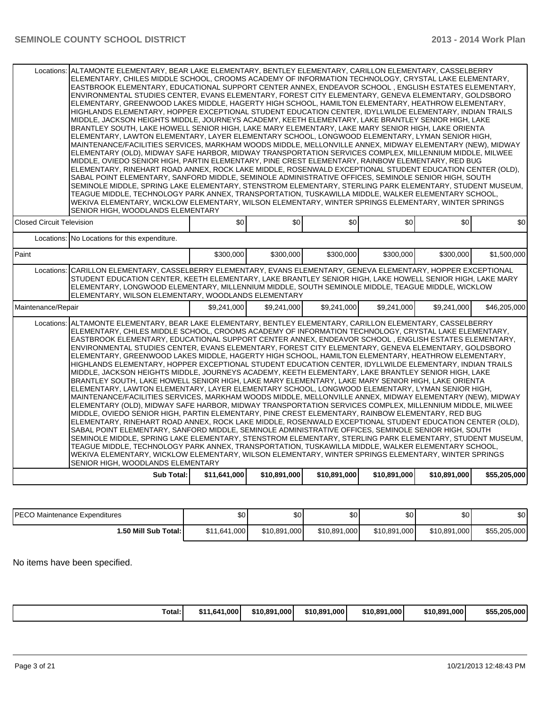| Locations:                                                                                                                                                                                                                                                                                                                                                                                                                                                                                                                                                                                                                                                                                                                                                                                                                                                                                                                                                                                                                                                                                                                                                                                                                                                                                                                                                                                                                                                                                                                                                                                                                                                                                                                                                                                                                                                                          | ALTAMONTE ELEMENTARY. BEAR LAKE ELEMENTARY. BENTLEY ELEMENTARY. CARILLON ELEMENTARY. CASSELBERRY<br>ELEMENTARY, CHILES MIDDLE SCHOOL, CROOMS ACADEMY OF INFORMATION TECHNOLOGY, CRYSTAL LAKE ELEMENTARY,<br>EASTBROOK ELEMENTARY, EDUCATIONAL SUPPORT CENTER ANNEX, ENDEAVOR SCHOOL, ENGLISH ESTATES ELEMENTARY,<br>ENVIRONMENTAL STUDIES CENTER, EVANS ELEMENTARY, FOREST CITY ELEMENTARY, GENEVA ELEMENTARY, GOLDSBORO<br>ELEMENTARY, GREENWOOD LAKES MIDDLE, HAGERTY HIGH SCHOOL, HAMILTON ELEMENTARY, HEATHROW ELEMENTARY,<br>HIGHLANDS ELEMENTARY, HOPPER EXCEPTIONAL STUDENT EDUCATION CENTER, IDYLLWILDE ELEMENTARY, INDIAN TRAILS<br>MIDDLE, JACKSON HEIGHTS MIDDLE, JOURNEYS ACADEMY, KEETH ELEMENTARY, LAKE BRANTLEY SENIOR HIGH, LAKE<br>BRANTLEY SOUTH, LAKE HOWELL SENIOR HIGH, LAKE MARY ELEMENTARY, LAKE MARY SENIOR HIGH, LAKE ORIENTA<br>ELEMENTARY, LAWTON ELEMENTARY, LAYER ELEMENTARY SCHOOL, LONGWOOD ELEMENTARY, LYMAN SENIOR HIGH,<br>MAINTENANCE/FACILITIES SERVICES, MARKHAM WOODS MIDDLE, MELLONVILLE ANNEX, MIDWAY ELEMENTARY (NEW), MIDWAY<br>ELEMENTARY (OLD), MIDWAY SAFE HARBOR, MIDWAY TRANSPORTATION SERVICES COMPLEX, MILLENNIUM MIDDLE, MILWEE<br>MIDDLE, OVIEDO SENIOR HIGH, PARTIN ELEMENTARY, PINE CREST ELEMENTARY, RAINBOW ELEMENTARY, RED BUG<br>ELEMENTARY, RINEHART ROAD ANNEX, ROCK LAKE MIDDLE, ROSENWALD EXCEPTIONAL STUDENT EDUCATION CENTER (OLD),<br>SABAL POINT ELEMENTARY, SANFORD MIDDLE, SEMINOLE ADMINISTRATIVE OFFICES, SEMINOLE SENIOR HIGH, SOUTH<br>SEMINOLE MIDDLE, SPRING LAKE ELEMENTARY, STENSTROM ELEMENTARY, STERLING PARK ELEMENTARY, STUDENT MUSEUM,<br>TEAGUE MIDDLE. TECHNOLOGY PARK ANNEX. TRANSPORTATION. TUSKAWILLA MIDDLE. WALKER ELEMENTARY SCHOOL.<br>WEKIVA ELEMENTARY, WICKLOW ELEMENTARY, WILSON ELEMENTARY, WINTER SPRINGS ELEMENTARY, WINTER SPRINGS<br>SENIOR HIGH, WOODLANDS ELEMENTARY |              |              |              |              |              |  |  |  |  |
|-------------------------------------------------------------------------------------------------------------------------------------------------------------------------------------------------------------------------------------------------------------------------------------------------------------------------------------------------------------------------------------------------------------------------------------------------------------------------------------------------------------------------------------------------------------------------------------------------------------------------------------------------------------------------------------------------------------------------------------------------------------------------------------------------------------------------------------------------------------------------------------------------------------------------------------------------------------------------------------------------------------------------------------------------------------------------------------------------------------------------------------------------------------------------------------------------------------------------------------------------------------------------------------------------------------------------------------------------------------------------------------------------------------------------------------------------------------------------------------------------------------------------------------------------------------------------------------------------------------------------------------------------------------------------------------------------------------------------------------------------------------------------------------------------------------------------------------------------------------------------------------|--------------------------------------------------------------------------------------------------------------------------------------------------------------------------------------------------------------------------------------------------------------------------------------------------------------------------------------------------------------------------------------------------------------------------------------------------------------------------------------------------------------------------------------------------------------------------------------------------------------------------------------------------------------------------------------------------------------------------------------------------------------------------------------------------------------------------------------------------------------------------------------------------------------------------------------------------------------------------------------------------------------------------------------------------------------------------------------------------------------------------------------------------------------------------------------------------------------------------------------------------------------------------------------------------------------------------------------------------------------------------------------------------------------------------------------------------------------------------------------------------------------------------------------------------------------------------------------------------------------------------------------------------------------------------------------------------------------------------------------------------------------------------------------------------------------------------------------------------------------------------|--------------|--------------|--------------|--------------|--------------|--|--|--|--|
| <b>Closed Circuit Television</b>                                                                                                                                                                                                                                                                                                                                                                                                                                                                                                                                                                                                                                                                                                                                                                                                                                                                                                                                                                                                                                                                                                                                                                                                                                                                                                                                                                                                                                                                                                                                                                                                                                                                                                                                                                                                                                                    | \$0                                                                                                                                                                                                                                                                                                                                                                                                                                                                                                                                                                                                                                                                                                                                                                                                                                                                                                                                                                                                                                                                                                                                                                                                                                                                                                                                                                                                                                                                                                                                                                                                                                                                                                                                                                                                                                                                      | \$0          | \$0          | \$0          | \$0          | \$0          |  |  |  |  |
| Locations: No Locations for this expenditure.                                                                                                                                                                                                                                                                                                                                                                                                                                                                                                                                                                                                                                                                                                                                                                                                                                                                                                                                                                                                                                                                                                                                                                                                                                                                                                                                                                                                                                                                                                                                                                                                                                                                                                                                                                                                                                       |                                                                                                                                                                                                                                                                                                                                                                                                                                                                                                                                                                                                                                                                                                                                                                                                                                                                                                                                                                                                                                                                                                                                                                                                                                                                                                                                                                                                                                                                                                                                                                                                                                                                                                                                                                                                                                                                          |              |              |              |              |              |  |  |  |  |
| Paint                                                                                                                                                                                                                                                                                                                                                                                                                                                                                                                                                                                                                                                                                                                                                                                                                                                                                                                                                                                                                                                                                                                                                                                                                                                                                                                                                                                                                                                                                                                                                                                                                                                                                                                                                                                                                                                                               | \$300,000                                                                                                                                                                                                                                                                                                                                                                                                                                                                                                                                                                                                                                                                                                                                                                                                                                                                                                                                                                                                                                                                                                                                                                                                                                                                                                                                                                                                                                                                                                                                                                                                                                                                                                                                                                                                                                                                | \$300.000    | \$300,000    | \$300,000    | \$300,000    | \$1.500.000  |  |  |  |  |
| CARILLON ELEMENTARY, CASSELBERRY ELEMENTARY, EVANS ELEMENTARY, GENEVA ELEMENTARY, HOPPER EXCEPTIONAL<br>Locations:<br>STUDENT EDUCATION CENTER, KEETH ELEMENTARY, LAKE BRANTLEY SENIOR HIGH, LAKE HOWELL SENIOR HIGH, LAKE MARY<br>ELEMENTARY, LONGWOOD ELEMENTARY, MILLENNIUM MIDDLE, SOUTH SEMINOLE MIDDLE, TEAGUE MIDDLE, WICKLOW<br>ELEMENTARY, WILSON ELEMENTARY, WOODLANDS ELEMENTARY                                                                                                                                                                                                                                                                                                                                                                                                                                                                                                                                                                                                                                                                                                                                                                                                                                                                                                                                                                                                                                                                                                                                                                                                                                                                                                                                                                                                                                                                                         |                                                                                                                                                                                                                                                                                                                                                                                                                                                                                                                                                                                                                                                                                                                                                                                                                                                                                                                                                                                                                                                                                                                                                                                                                                                                                                                                                                                                                                                                                                                                                                                                                                                                                                                                                                                                                                                                          |              |              |              |              |              |  |  |  |  |
| Maintenance/Repair                                                                                                                                                                                                                                                                                                                                                                                                                                                                                                                                                                                                                                                                                                                                                                                                                                                                                                                                                                                                                                                                                                                                                                                                                                                                                                                                                                                                                                                                                                                                                                                                                                                                                                                                                                                                                                                                  | \$9,241,000                                                                                                                                                                                                                                                                                                                                                                                                                                                                                                                                                                                                                                                                                                                                                                                                                                                                                                                                                                                                                                                                                                                                                                                                                                                                                                                                                                                                                                                                                                                                                                                                                                                                                                                                                                                                                                                              | \$9,241,000  | \$9,241,000  | \$9,241,000  | \$9,241,000  | \$46,205,000 |  |  |  |  |
| Locations: ALTAMONTE ELEMENTARY, BEAR LAKE ELEMENTARY, BENTLEY ELEMENTARY, CARILLON ELEMENTARY, CASSELBERRY<br>ELEMENTARY, CHILES MIDDLE SCHOOL, CROOMS ACADEMY OF INFORMATION TECHNOLOGY, CRYSTAL LAKE ELEMENTARY,<br>EASTBROOK ELEMENTARY, EDUCATIONAL SUPPORT CENTER ANNEX, ENDEAVOR SCHOOL, ENGLISH ESTATES ELEMENTARY,<br>ENVIRONMENTAL STUDIES CENTER. EVANS ELEMENTARY. FOREST CITY ELEMENTARY. GENEVA ELEMENTARY. GOLDSBORO<br>ELEMENTARY, GREENWOOD LAKES MIDDLE, HAGERTY HIGH SCHOOL, HAMILTON ELEMENTARY, HEATHROW ELEMENTARY,<br>HIGHLANDS ELEMENTARY. HOPPER EXCEPTIONAL STUDENT EDUCATION CENTER. IDYLLWILDE ELEMENTARY. INDIAN TRAILS<br>MIDDLE, JACKSON HEIGHTS MIDDLE, JOURNEYS ACADEMY, KEETH ELEMENTARY, LAKE BRANTLEY SENIOR HIGH, LAKE<br>BRANTLEY SOUTH, LAKE HOWELL SENIOR HIGH, LAKE MARY ELEMENTARY, LAKE MARY SENIOR HIGH, LAKE ORIENTA<br>ELEMENTARY, LAWTON ELEMENTARY, LAYER ELEMENTARY SCHOOL, LONGWOOD ELEMENTARY, LYMAN SENIOR HIGH,<br>MAINTENANCE/FACILITIES SERVICES, MARKHAM WOODS MIDDLE, MELLONVILLE ANNEX, MIDWAY ELEMENTARY (NEW), MIDWAY<br>ELEMENTARY (OLD), MIDWAY SAFE HARBOR, MIDWAY TRANSPORTATION SERVICES COMPLEX, MILLENNIUM MIDDLE, MILWEE<br>MIDDLE, OVIEDO SENIOR HIGH, PARTIN ELEMENTARY, PINE CREST ELEMENTARY, RAINBOW ELEMENTARY, RED BUG<br>ELEMENTARY, RINEHART ROAD ANNEX, ROCK LAKE MIDDLE, ROSENWALD EXCEPTIONAL STUDENT EDUCATION CENTER (OLD),<br>SABAL POINT ELEMENTARY, SANFORD MIDDLE, SEMINOLE ADMINISTRATIVE OFFICES, SEMINOLE SENIOR HIGH, SOUTH<br>SEMINOLE MIDDLE, SPRING LAKE ELEMENTARY, STENSTROM ELEMENTARY, STERLING PARK ELEMENTARY, STUDENT MUSEUM,<br>TEAGUE MIDDLE, TECHNOLOGY PARK ANNEX, TRANSPORTATION, TUSKAWILLA MIDDLE, WALKER ELEMENTARY SCHOOL,<br>WEKIVA ELEMENTARY, WICKLOW ELEMENTARY, WILSON ELEMENTARY, WINTER SPRINGS ELEMENTARY, WINTER SPRINGS<br>SENIOR HIGH, WOODLANDS ELEMENTARY |                                                                                                                                                                                                                                                                                                                                                                                                                                                                                                                                                                                                                                                                                                                                                                                                                                                                                                                                                                                                                                                                                                                                                                                                                                                                                                                                                                                                                                                                                                                                                                                                                                                                                                                                                                                                                                                                          |              |              |              |              |              |  |  |  |  |
| <b>Sub Total:</b>                                                                                                                                                                                                                                                                                                                                                                                                                                                                                                                                                                                                                                                                                                                                                                                                                                                                                                                                                                                                                                                                                                                                                                                                                                                                                                                                                                                                                                                                                                                                                                                                                                                                                                                                                                                                                                                                   | \$11,641,000                                                                                                                                                                                                                                                                                                                                                                                                                                                                                                                                                                                                                                                                                                                                                                                                                                                                                                                                                                                                                                                                                                                                                                                                                                                                                                                                                                                                                                                                                                                                                                                                                                                                                                                                                                                                                                                             | \$10,891,000 | \$10,891,000 | \$10,891,000 | \$10,891,000 | \$55,205,000 |  |  |  |  |

| <b>IPECO Maintenance Expenditures</b> | ሖ<br>υŒ      | $\sim$<br>.DU | ሶሳ<br>JU     | \$O          | ሶሳ<br>υU     | \$0          |
|---------------------------------------|--------------|---------------|--------------|--------------|--------------|--------------|
| 1.50 Mill Sub Total: I                | \$11,641,000 | \$10.891.000  | \$10,891,000 | \$10,891,000 | \$10,891,000 | \$55,205,000 |

No items have been specified.

| 1.641.000<br>\$10,891,000<br>Total:<br>24 A<br>- 12 L | 1.000<br>\$10.891 | \$10.891.0001 | \$10,891,000 | \$55,205,000 |
|-------------------------------------------------------|-------------------|---------------|--------------|--------------|
|-------------------------------------------------------|-------------------|---------------|--------------|--------------|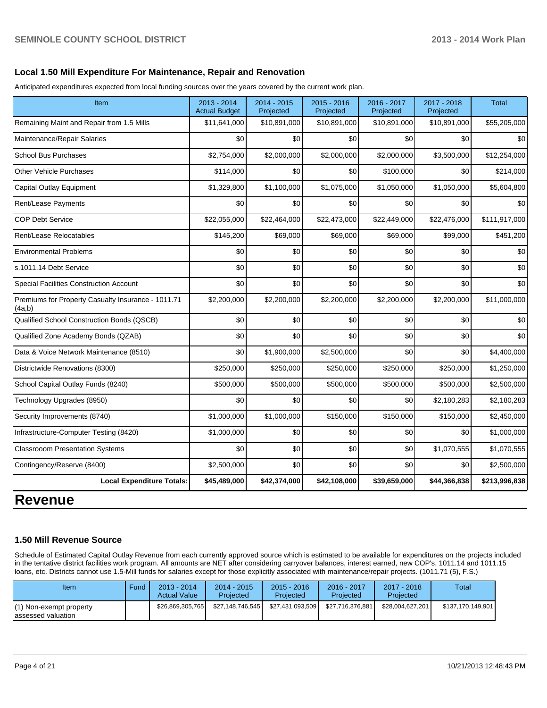### **Local 1.50 Mill Expenditure For Maintenance, Repair and Renovation**

Anticipated expenditures expected from local funding sources over the years covered by the current work plan.

| Item                                                         | 2013 - 2014<br><b>Actual Budget</b> | 2014 - 2015<br>Projected | 2015 - 2016<br>Projected | 2016 - 2017<br>Projected | 2017 - 2018<br>Projected | <b>Total</b>  |
|--------------------------------------------------------------|-------------------------------------|--------------------------|--------------------------|--------------------------|--------------------------|---------------|
| Remaining Maint and Repair from 1.5 Mills                    | \$11,641,000                        | \$10,891,000             | \$10,891,000             | \$10,891,000             | \$10,891,000             | \$55,205,000  |
| Maintenance/Repair Salaries                                  | \$0                                 | \$0                      | \$0                      | \$0                      | \$0                      | \$0           |
| <b>School Bus Purchases</b>                                  | \$2,754,000                         | \$2,000,000              | \$2,000,000              | \$2,000,000              | \$3,500,000              | \$12,254,000  |
| Other Vehicle Purchases                                      | \$114,000                           | \$0                      | \$0                      | \$100,000                | \$0                      | \$214,000     |
| Capital Outlay Equipment                                     | \$1,329,800                         | \$1,100,000              | \$1,075,000              | \$1,050,000              | \$1,050,000              | \$5,604,800   |
| Rent/Lease Payments                                          | \$0                                 | \$0                      | \$0                      | \$0                      | \$0                      | \$0           |
| <b>COP Debt Service</b>                                      | \$22,055,000                        | \$22,464,000             | \$22,473,000             | \$22,449,000             | \$22,476,000             | \$111,917,000 |
| Rent/Lease Relocatables                                      | \$145,200                           | \$69,000                 | \$69,000                 | \$69,000                 | \$99,000                 | \$451,200     |
| <b>Environmental Problems</b>                                | \$0                                 | \$0                      | \$0                      | \$0                      | \$0                      | \$0           |
| s.1011.14 Debt Service                                       | \$0                                 | \$0                      | \$0                      | \$0                      | \$0                      | \$0           |
| Special Facilities Construction Account                      | \$0                                 | \$0                      | \$0                      | \$0                      | \$0                      | \$0           |
| Premiums for Property Casualty Insurance - 1011.71<br>(4a,b) | \$2,200,000                         | \$2,200,000              | \$2,200,000              | \$2,200,000              | \$2,200,000              | \$11,000,000  |
| Qualified School Construction Bonds (QSCB)                   | \$0                                 | \$0                      | \$0                      | \$0                      | \$0                      | \$0           |
| Qualified Zone Academy Bonds (QZAB)                          | \$0                                 | \$0                      | \$0                      | \$0                      | \$0                      | \$0           |
| Data & Voice Network Maintenance (8510)                      | \$0                                 | \$1,900,000              | \$2,500,000              | \$0                      | \$0                      | \$4,400,000   |
| Districtwide Renovations (8300)                              | \$250,000                           | \$250,000                | \$250,000                | \$250,000                | \$250,000                | \$1,250,000   |
| School Capital Outlay Funds (8240)                           | \$500,000                           | \$500,000                | \$500,000                | \$500,000                | \$500,000                | \$2,500,000   |
| Technology Upgrades (8950)                                   | \$0                                 | \$0                      | \$0                      | \$0                      | \$2,180,283              | \$2,180,283   |
| Security Improvements (8740)                                 | \$1,000,000                         | \$1,000,000              | \$150,000                | \$150,000                | \$150,000                | \$2,450,000   |
| Infrastructure-Computer Testing (8420)                       | \$1,000,000                         | \$0                      | \$0                      | \$0                      | \$0                      | \$1,000,000   |
| <b>Classrooom Presentation Systems</b>                       | \$0                                 | \$0                      | \$0                      | \$0                      | \$1,070,555              | \$1,070,555   |
| Contingency/Reserve (8400)                                   | \$2,500,000                         | \$0                      | \$0                      | \$0                      | \$0                      | \$2,500,000   |
| <b>Local Expenditure Totals:</b>                             | \$45,489,000                        | \$42,374,000             | \$42,108,000             | \$39,659,000             | \$44,366,838             | \$213,996,838 |

### **Revenue**

### **1.50 Mill Revenue Source**

Schedule of Estimated Capital Outlay Revenue from each currently approved source which is estimated to be available for expenditures on the projects included in the tentative district facilities work program. All amounts are NET after considering carryover balances, interest earned, new COP's, 1011.14 and 1011.15 loans, etc. Districts cannot use 1.5-Mill funds for salaries except for those explicitly associated with maintenance/repair projects. (1011.71 (5), F.S.)

| Item                                         | Fund | $2013 - 2014$<br><b>Actual Value</b> | 2014 - 2015<br>Projected | $2015 - 2016$<br>Projected | 2016 - 2017<br>Projected | $2017 - 2018$<br>Projected | Total             |
|----------------------------------------------|------|--------------------------------------|--------------------------|----------------------------|--------------------------|----------------------------|-------------------|
| ) Non-exempt property<br>lassessed valuation |      | \$26.869.305.765                     | \$27.148.746.545         | \$27,431,093,509           | \$27.716.376.881         | \$28,004,627,201           | \$137,170,149,901 |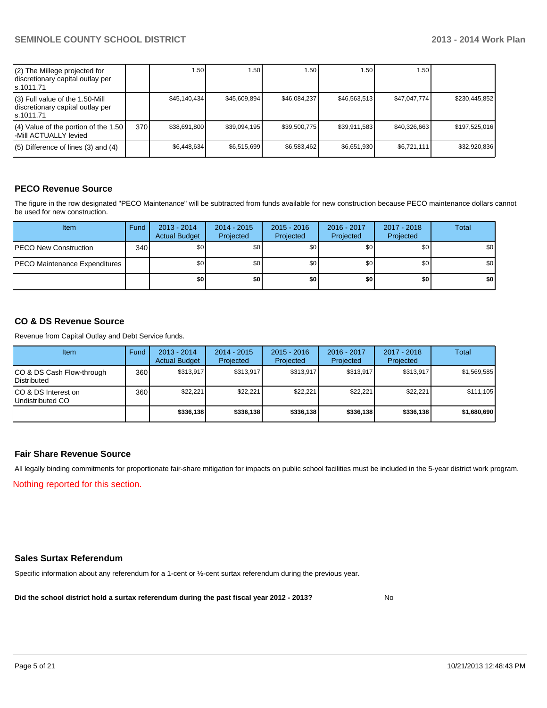| (2) The Millege projected for<br>discretionary capital outlay per<br>ls.1011.71   |      | 1.50 l       | 1.50         | ا 50. ا      | 1.50         | 1.50 l       |               |
|-----------------------------------------------------------------------------------|------|--------------|--------------|--------------|--------------|--------------|---------------|
| (3) Full value of the 1.50-Mill<br>discretionary capital outlay per<br>ls.1011.71 |      | \$45,140,434 | \$45,609,894 | \$46,084,237 | \$46.563.513 | \$47.047.774 | \$230,445,852 |
| $(4)$ Value of the portion of the 1.50<br>l-Mill ACTUALLY levied                  | 370I | \$38,691,800 | \$39.094.195 | \$39,500,775 | \$39,911,583 | \$40.326.663 | \$197,525,016 |
| $(5)$ Difference of lines $(3)$ and $(4)$                                         |      | \$6.448.634  | \$6,515,699  | \$6,583,462  | \$6,651,930  | \$6,721,111  | \$32,920,836  |

### **PECO Revenue Source**

The figure in the row designated "PECO Maintenance" will be subtracted from funds available for new construction because PECO maintenance dollars cannot be used for new construction.

| <b>Item</b>                          | Fund | $2013 - 2014$<br><b>Actual Budget</b> | $2014 - 2015$<br>Projected | $2015 - 2016$<br>Projected | 2016 - 2017<br>Projected | 2017 - 2018<br>Projected | Total            |
|--------------------------------------|------|---------------------------------------|----------------------------|----------------------------|--------------------------|--------------------------|------------------|
| <b>PECO New Construction</b>         | 340  | \$0                                   | \$0                        | \$0                        | \$0                      | \$0                      | \$0 <sub>1</sub> |
| <b>PECO Maintenance Expenditures</b> |      | \$0                                   | \$0                        | \$0                        | \$0                      | \$0                      | \$0 <sub>1</sub> |
|                                      |      | \$0 I                                 | \$0                        | \$0                        | \$0                      | \$0                      | \$0              |

### **CO & DS Revenue Source**

Revenue from Capital Outlay and Debt Service funds.

| <b>Item</b>                                     | Fund | $2013 - 2014$<br><b>Actual Budget</b> | $2014 - 2015$<br>Projected | $2015 - 2016$<br>Projected | $2016 - 2017$<br>Projected | $2017 - 2018$<br>Projected | Total       |
|-------------------------------------------------|------|---------------------------------------|----------------------------|----------------------------|----------------------------|----------------------------|-------------|
| CO & DS Cash Flow-through<br><b>Distributed</b> | 360  | \$313.917                             | \$313.917                  | \$313,917                  | \$313.917                  | \$313.917                  | \$1,569,585 |
| CO & DS Interest on<br>Undistributed CO         | 360  | \$22,221                              | \$22.221                   | \$22.221                   | \$22,221                   | \$22.221                   | \$111,105   |
|                                                 |      | \$336,138                             | \$336.138                  | \$336,138                  | \$336,138                  | \$336,138                  | \$1,680,690 |

### **Fair Share Revenue Source**

Nothing reported for this section. All legally binding commitments for proportionate fair-share mitigation for impacts on public school facilities must be included in the 5-year district work program.

### **Sales Surtax Referendum**

Specific information about any referendum for a 1-cent or ½-cent surtax referendum during the previous year.

**Did the school district hold a surtax referendum during the past fiscal year 2012 - 2013?**

No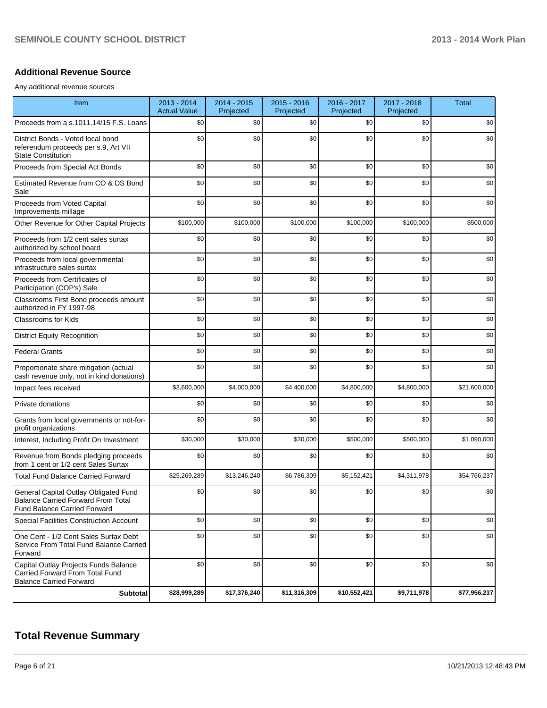### **Additional Revenue Source**

Any additional revenue sources

| Item                                                                                                                      | 2013 - 2014<br><b>Actual Value</b> | 2014 - 2015<br>Projected | 2015 - 2016<br>Projected | 2016 - 2017<br>Projected | 2017 - 2018<br>Projected | <b>Total</b> |
|---------------------------------------------------------------------------------------------------------------------------|------------------------------------|--------------------------|--------------------------|--------------------------|--------------------------|--------------|
| Proceeds from a s.1011.14/15 F.S. Loans                                                                                   | \$0                                | \$0                      | \$0                      | \$0                      | \$0                      | \$0          |
| District Bonds - Voted local bond<br>referendum proceeds per s.9, Art VII<br><b>State Constitution</b>                    | \$0                                | \$0                      | \$0                      | \$0                      | \$0                      | \$0          |
| Proceeds from Special Act Bonds                                                                                           | \$0                                | \$0                      | \$0                      | \$0                      | \$0                      | \$0          |
| Estimated Revenue from CO & DS Bond<br>Sale                                                                               | \$0                                | \$0                      | \$0                      | \$0                      | \$0                      | \$0          |
| Proceeds from Voted Capital<br>Improvements millage                                                                       | \$0                                | \$0                      | \$0                      | \$0                      | \$0                      | \$0          |
| Other Revenue for Other Capital Projects                                                                                  | \$100,000                          | \$100,000                | \$100,000                | \$100,000                | \$100,000                | \$500,000    |
| Proceeds from 1/2 cent sales surtax<br>authorized by school board                                                         | \$0                                | \$0                      | \$0                      | \$0                      | \$0                      | \$0          |
| Proceeds from local governmental<br>infrastructure sales surtax                                                           | \$0                                | \$0                      | \$0                      | \$0                      | \$0                      | \$0          |
| Proceeds from Certificates of<br>Participation (COP's) Sale                                                               | \$0                                | \$0                      | \$0                      | \$0                      | \$0                      | \$0          |
| Classrooms First Bond proceeds amount<br>authorized in FY 1997-98                                                         | \$0                                | \$0                      | \$0                      | \$0                      | \$0                      | \$0          |
| Classrooms for Kids                                                                                                       | \$0                                | \$0                      | \$0                      | \$0                      | \$0                      | \$0          |
| <b>District Equity Recognition</b>                                                                                        | \$0                                | \$0                      | \$0                      | \$0                      | \$0                      | \$0          |
| <b>Federal Grants</b>                                                                                                     | \$0                                | \$0                      | \$0                      | \$0                      | \$0                      | \$0          |
| Proportionate share mitigation (actual<br>cash revenue only, not in kind donations)                                       | \$0                                | \$0                      | \$0                      | \$0                      | \$0                      | \$0          |
| Impact fees received                                                                                                      | \$3,600,000                        | \$4,000,000              | \$4,400,000              | \$4,800,000              | \$4,800,000              | \$21,600,000 |
| Private donations                                                                                                         | \$0                                | \$0                      | \$0                      | \$0                      | \$0                      | \$0          |
| Grants from local governments or not-for-<br>profit organizations                                                         | \$0                                | \$0                      | \$0                      | \$0                      | \$0                      | \$0          |
| Interest, Including Profit On Investment                                                                                  | \$30,000                           | \$30,000                 | \$30,000                 | \$500,000                | \$500,000                | \$1,090,000  |
| Revenue from Bonds pledging proceeds<br>from 1 cent or 1/2 cent Sales Surtax                                              | \$0                                | \$0                      | \$0                      | \$0                      | \$0                      | \$0          |
| <b>Total Fund Balance Carried Forward</b>                                                                                 | \$25,269,289                       | \$13,246,240             | \$6,786,309              | \$5,152,421              | \$4,311,978              | \$54,766,237 |
| General Capital Outlay Obligated Fund<br><b>Balance Carried Forward From Total</b><br><b>Fund Balance Carried Forward</b> | \$0                                | \$0                      | \$0                      | \$0                      | \$0                      | \$0          |
| Special Facilities Construction Account                                                                                   | \$0                                | \$0                      | \$0                      | \$0                      | \$0                      | \$0          |
| One Cent - 1/2 Cent Sales Surtax Debt<br>Service From Total Fund Balance Carried<br>Forward                               | \$0                                | \$0                      | \$0                      | \$0                      | \$0                      | \$0          |
| Capital Outlay Projects Funds Balance<br>Carried Forward From Total Fund<br><b>Balance Carried Forward</b>                | \$0                                | \$0                      | \$0                      | \$0                      | \$0                      | \$0          |
| Subtotal                                                                                                                  | \$28,999,289                       | \$17,376,240             | \$11,316,309             | \$10,552,421             | \$9,711,978              | \$77,956,237 |

## **Total Revenue Summary**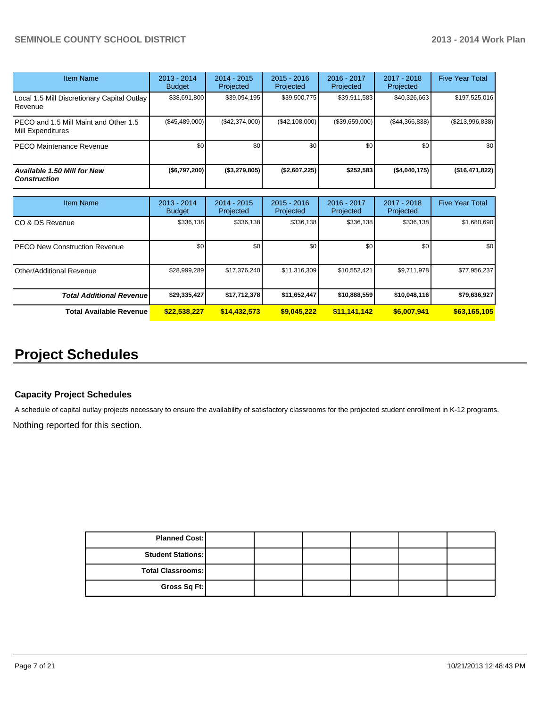| <b>Item Name</b>                                           | $2013 - 2014$<br><b>Budget</b> | 2014 - 2015<br>Projected | $2015 - 2016$<br>Projected | 2016 - 2017<br>Projected | 2017 - 2018<br>Projected | <b>Five Year Total</b> |
|------------------------------------------------------------|--------------------------------|--------------------------|----------------------------|--------------------------|--------------------------|------------------------|
| Local 1.5 Mill Discretionary Capital Outlay<br>Revenue     | \$38,691,800                   | \$39,094,195             | \$39,500,775               | \$39,911,583             | \$40,326,663             | \$197,525,016          |
| PECO and 1.5 Mill Maint and Other 1.5<br>Mill Expenditures | (\$45,489,000)                 | (\$42,374,000)           | (\$42,108,000)             | (\$39,659,000)           | (S44, 366, 838)          | $(\$213,996,838)$      |
| PECO Maintenance Revenue                                   | \$0                            | \$0                      | \$0                        | \$0                      | \$0                      | \$0 <sub>1</sub>       |
| <b>Available 1.50 Mill for New</b><br><b>Construction</b>  | $($ \$6,797,200)               | $($ \$3,279,805)         | (\$2,607,225)              | \$252,583                | (\$4,040,175)            | (\$16,471,822)         |

| <b>Item Name</b>                      | 2013 - 2014<br><b>Budget</b> | $2014 - 2015$<br>Projected | $2015 - 2016$<br>Projected | 2016 - 2017<br>Projected | 2017 - 2018<br>Projected | <b>Five Year Total</b> |
|---------------------------------------|------------------------------|----------------------------|----------------------------|--------------------------|--------------------------|------------------------|
| ICO & DS Revenue                      | \$336,138                    | \$336,138                  | \$336.138                  | \$336,138                | \$336,138                | \$1,680,690            |
| <b>IPECO New Construction Revenue</b> | \$0                          | \$0                        | \$0                        | \$0                      | \$0 <sub>1</sub>         | \$0 <sub>1</sub>       |
| IOther/Additional Revenue             | \$28,999,289                 | \$17,376,240               | \$11,316,309               | \$10,552,421             | \$9,711,978              | \$77,956,237           |
| <b>Total Additional Revenuel</b>      | \$29,335,427                 | \$17,712,378               | \$11,652,447               | \$10,888,559             | \$10,048,116             | \$79,636,927           |
| <b>Total Available Revenue</b>        | \$22,538,227                 | \$14,432,573               | \$9,045,222                | \$11,141,142             | \$6,007,941              | \$63,165,105           |

## **Project Schedules**

### **Capacity Project Schedules**

A schedule of capital outlay projects necessary to ensure the availability of satisfactory classrooms for the projected student enrollment in K-12 programs.

Nothing reported for this section.

| <b>Planned Cost:</b>       |  |  |  |
|----------------------------|--|--|--|
| <b>Student Stations: I</b> |  |  |  |
| Total Classrooms:          |  |  |  |
| Gross Sq Ft:               |  |  |  |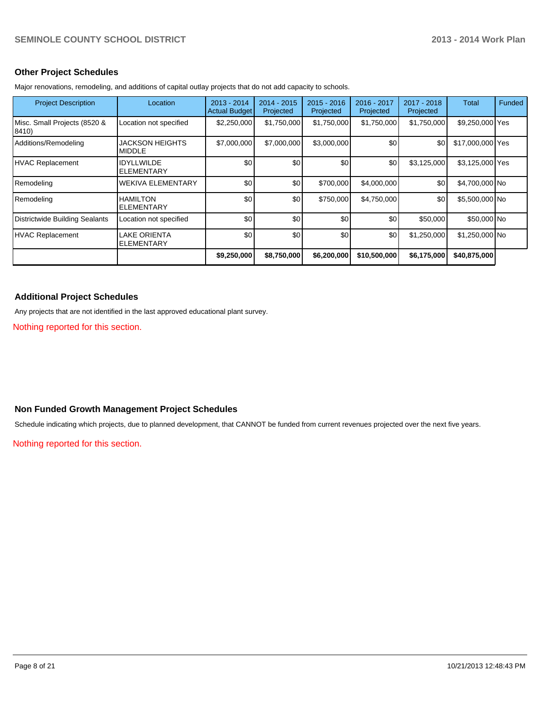### **Other Project Schedules**

Major renovations, remodeling, and additions of capital outlay projects that do not add capacity to schools.

| <b>Project Description</b>            | Location                                | $2013 - 2014$<br><b>Actual Budget</b> | $2014 - 2015$<br>Projected | $2015 - 2016$<br>Projected | 2016 - 2017<br>Projected | 2017 - 2018<br>Projected | Total            | <b>Funded</b> |
|---------------------------------------|-----------------------------------------|---------------------------------------|----------------------------|----------------------------|--------------------------|--------------------------|------------------|---------------|
| Misc. Small Projects (8520 &<br>8410) | Location not specified                  | \$2,250,000                           | \$1,750,000                | \$1,750,000                | \$1,750,000              | \$1,750,000              | \$9,250,000 Yes  |               |
| Additions/Remodeling                  | <b>JACKSON HEIGHTS</b><br><b>MIDDLE</b> | \$7,000,000                           | \$7,000,000                | \$3,000,000                | \$0                      | \$0                      | \$17,000,000 Yes |               |
| <b>HVAC Replacement</b>               | <b>IDYLLWILDE</b><br><b>ELEMENTARY</b>  | \$0                                   | \$0                        | \$0                        | \$0                      | \$3,125,000              | \$3,125,000 Yes  |               |
| Remodeling                            | <b>WEKIVA ELEMENTARY</b>                | \$0                                   | \$0                        | \$700,000                  | \$4,000,000              | \$0                      | \$4,700,000 No   |               |
| Remodeling                            | <b>HAMILTON</b><br><b>ELEMENTARY</b>    | \$0                                   | \$0                        | \$750,000                  | \$4,750,000              | \$0                      | \$5,500,000 No   |               |
| <b>Districtwide Building Sealants</b> | Location not specified                  | \$0                                   | \$0                        | \$0                        | \$0                      | \$50,000                 | \$50,000 No      |               |
| <b>HVAC Replacement</b>               | LAKE ORIENTA<br><b>ELEMENTARY</b>       | \$0                                   | \$0                        | \$0                        | \$0                      | \$1,250,000              | \$1,250,000 No   |               |
|                                       |                                         | \$9,250,000                           | \$8,750,000                | \$6,200,000                | \$10,500,000             | \$6,175,000              | \$40,875,000     |               |

### **Additional Project Schedules**

Any projects that are not identified in the last approved educational plant survey.

Nothing reported for this section.

### **Non Funded Growth Management Project Schedules**

Schedule indicating which projects, due to planned development, that CANNOT be funded from current revenues projected over the next five years.

Nothing reported for this section.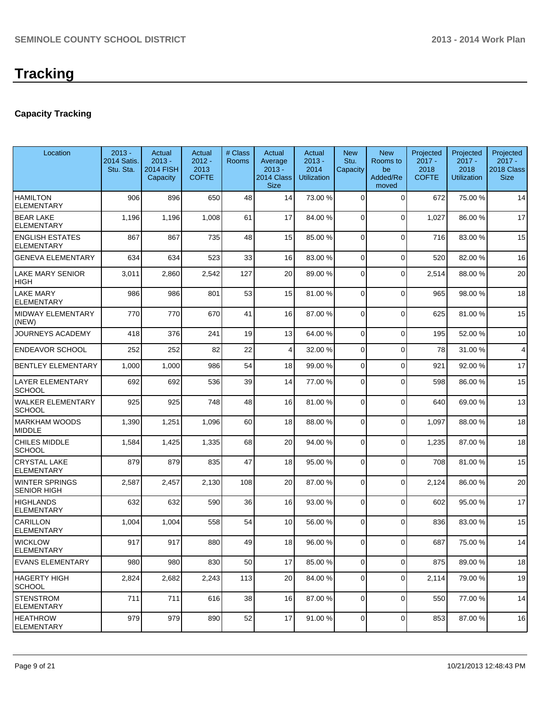# **Tracking**

### **Capacity Tracking**

| Location                                    | $2013 -$<br><b>2014 Satis.</b><br>Stu. Sta. | Actual<br>$2013 -$<br><b>2014 FISH</b><br>Capacity | Actual<br>$2012 -$<br>2013<br><b>COFTE</b> | # Class<br><b>Rooms</b> | Actual<br>Average<br>$2013 -$<br>2014 Class<br><b>Size</b> | Actual<br>$2013 -$<br>2014<br><b>Utilization</b> | <b>New</b><br>Stu.<br>Capacity | <b>New</b><br>Rooms to<br>be<br>Added/Re<br>moved | Projected<br>$2017 -$<br>2018<br><b>COFTE</b> | Projected<br>$2017 -$<br>2018<br><b>Utilization</b> | Projected<br>$2017 -$<br>2018 Class<br><b>Size</b> |
|---------------------------------------------|---------------------------------------------|----------------------------------------------------|--------------------------------------------|-------------------------|------------------------------------------------------------|--------------------------------------------------|--------------------------------|---------------------------------------------------|-----------------------------------------------|-----------------------------------------------------|----------------------------------------------------|
| <b>HAMILTON</b><br><b>ELEMENTARY</b>        | 906                                         | 896                                                | 650                                        | 48                      | 14                                                         | 73.00 %                                          | $\Omega$                       | $\Omega$                                          | 672                                           | 75.00 %                                             | 14                                                 |
| <b>BEAR LAKE</b><br><b>ELEMENTARY</b>       | 1,196                                       | 1,196                                              | 1,008                                      | 61                      | 17                                                         | 84.00 %                                          | 0                              | $\Omega$                                          | 1,027                                         | 86.00 %                                             | 17                                                 |
| <b>ENGLISH ESTATES</b><br><b>ELEMENTARY</b> | 867                                         | 867                                                | 735                                        | 48                      | 15                                                         | 85.00 %                                          | $\Omega$                       | $\Omega$                                          | 716                                           | 83.00 %                                             | 15                                                 |
| <b>GENEVA ELEMENTARY</b>                    | 634                                         | 634                                                | 523                                        | 33                      | 16                                                         | 83.00 %                                          | $\overline{0}$                 | $\Omega$                                          | 520                                           | 82.00 %                                             | 16                                                 |
| <b>LAKE MARY SENIOR</b><br><b>HIGH</b>      | 3,011                                       | 2,860                                              | 2,542                                      | 127                     | 20                                                         | 89.00 %                                          | $\overline{0}$                 | $\Omega$                                          | 2,514                                         | 88.00 %                                             | 20                                                 |
| <b>LAKE MARY</b><br><b>ELEMENTARY</b>       | 986                                         | 986                                                | 801                                        | 53                      | 15                                                         | 81.00 %                                          | $\Omega$                       | $\Omega$                                          | 965                                           | 98.00%                                              | 18                                                 |
| <b>MIDWAY ELEMENTARY</b><br>(NEW)           | 770                                         | 770                                                | 670                                        | 41                      | 16                                                         | 87.00 %                                          | $\Omega$                       | $\Omega$                                          | 625                                           | 81.00%                                              | 15                                                 |
| <b>JOURNEYS ACADEMY</b>                     | 418                                         | 376                                                | 241                                        | 19                      | 13                                                         | 64.00 %                                          | $\Omega$                       | $\Omega$                                          | 195                                           | 52.00 %                                             | 10                                                 |
| <b>ENDEAVOR SCHOOL</b>                      | 252                                         | 252                                                | 82                                         | 22                      | 4                                                          | 32.00 %                                          | $\overline{0}$                 | $\Omega$                                          | 78                                            | 31.00%                                              | 4                                                  |
| <b>BENTLEY ELEMENTARY</b>                   | 1,000                                       | 1,000                                              | 986                                        | 54                      | 18                                                         | 99.00 %                                          | $\overline{0}$                 | $\Omega$                                          | 921                                           | 92.00 %                                             | 17                                                 |
| <b>LAYER ELEMENTARY</b><br><b>SCHOOL</b>    | 692                                         | 692                                                | 536                                        | 39                      | 14                                                         | 77.00 %                                          | $\Omega$                       | $\Omega$                                          | 598                                           | 86.00 %                                             | 15                                                 |
| <b>WALKER ELEMENTARY</b><br><b>SCHOOL</b>   | 925                                         | 925                                                | 748                                        | 48                      | 16                                                         | 81.00 %                                          | $\overline{0}$                 | $\Omega$                                          | 640                                           | 69.00 %                                             | 13                                                 |
| <b>MARKHAM WOODS</b><br><b>MIDDLE</b>       | 1,390                                       | 1,251                                              | 1,096                                      | 60                      | 18                                                         | 88.00 %                                          | 0                              | $\Omega$                                          | 1,097                                         | 88.00 %                                             | 18                                                 |
| <b>CHILES MIDDLE</b><br><b>SCHOOL</b>       | 1,584                                       | 1,425                                              | 1,335                                      | 68                      | 20                                                         | 94.00 %                                          | 0                              | $\Omega$                                          | 1,235                                         | 87.00 %                                             | 18                                                 |
| <b>CRYSTAL LAKE</b><br><b>ELEMENTARY</b>    | 879                                         | 879                                                | 835                                        | 47                      | 18                                                         | 95.00 %                                          | $\Omega$                       | $\Omega$                                          | 708                                           | 81.00%                                              | 15                                                 |
| <b>WINTER SPRINGS</b><br><b>SENIOR HIGH</b> | 2,587                                       | 2,457                                              | 2,130                                      | 108                     | 20 <sup>1</sup>                                            | 87.00 %                                          | $\overline{0}$                 | $\Omega$                                          | 2,124                                         | 86.00 %                                             | 20                                                 |
| <b>HIGHLANDS</b><br><b>ELEMENTARY</b>       | 632                                         | 632                                                | 590                                        | 36                      | 16                                                         | 93.00 %                                          | 0                              | $\Omega$                                          | 602                                           | 95.00 %                                             | 17                                                 |
| CARILLON<br><b>ELEMENTARY</b>               | 1,004                                       | 1,004                                              | 558                                        | 54                      | 10                                                         | 56.00 %                                          | $\Omega$                       | $\Omega$                                          | 836                                           | 83.00 %                                             | 15                                                 |
| <b>WICKLOW</b><br>ELEMENTARY                | 917                                         | 917                                                | 880                                        | 49                      | 18                                                         | 96.00 %                                          | $\overline{0}$                 | $\overline{0}$                                    | 687                                           | 75.00 %                                             | 14                                                 |
| <b>EVANS ELEMENTARY</b>                     | 980                                         | 980                                                | 830                                        | 50                      | 17                                                         | 85.00 %                                          | $\overline{0}$                 | $\overline{0}$                                    | 875                                           | 89.00 %                                             | 18                                                 |
| <b>HAGERTY HIGH</b><br><b>SCHOOL</b>        | 2,824                                       | 2,682                                              | 2,243                                      | 113                     | 20 <sub>l</sub>                                            | 84.00 %                                          | 0                              | 0                                                 | 2,114                                         | 79.00 %                                             | 19                                                 |
| <b>STENSTROM</b><br><b>ELEMENTARY</b>       | 711                                         | 711                                                | 616                                        | 38                      | 16                                                         | 87.00 %                                          | 0                              | $\mathbf 0$                                       | 550                                           | 77.00 %                                             | 14                                                 |
| <b>HEATHROW</b><br><b>ELEMENTARY</b>        | 979                                         | 979                                                | 890                                        | 52                      | 17                                                         | 91.00 %                                          | 0                              | $\mathbf 0$                                       | 853                                           | 87.00 %                                             | 16                                                 |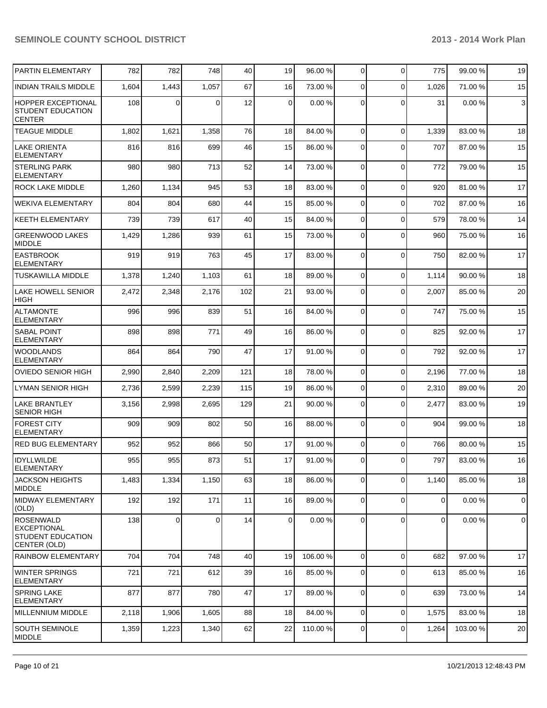| <b>PARTIN ELEMENTARY</b>                                                    | 782   | 782         | 748   | 40  | 19 | 96.00 %  | 0              | $\Omega$    | 775            | 99.00 % | 19             |
|-----------------------------------------------------------------------------|-------|-------------|-------|-----|----|----------|----------------|-------------|----------------|---------|----------------|
| <b>INDIAN TRAILS MIDDLE</b>                                                 | 1,604 | 1,443       | 1,057 | 67  | 16 | 73.00 %  | 0              | $\Omega$    | 1,026          | 71.00%  | 15             |
| <b>HOPPER EXCEPTIONAL</b><br>STUDENT EDUCATION<br><b>CENTER</b>             | 108   | 0           | 0     | 12  | 0  | 0.00%    | 0              | $\Omega$    | 31             | 0.00%   | 3              |
| <b>TEAGUE MIDDLE</b>                                                        | 1,802 | 1,621       | 1,358 | 76  | 18 | 84.00 %  | $\Omega$       | $\Omega$    | 1,339          | 83.00 % | 18             |
| <b>LAKE ORIENTA</b><br><b>ELEMENTARY</b>                                    | 816   | 816         | 699   | 46  | 15 | 86.00 %  | $\Omega$       | $\Omega$    | 707            | 87.00%  | 15             |
| <b>STERLING PARK</b><br><b>ELEMENTARY</b>                                   | 980   | 980         | 713   | 52  | 14 | 73.00 %  | $\Omega$       | $\mathbf 0$ | 772            | 79.00 % | 15             |
| <b>ROCK LAKE MIDDLE</b>                                                     | 1,260 | 1,134       | 945   | 53  | 18 | 83.00 %  | $\overline{0}$ | $\mathbf 0$ | 920            | 81.00%  | 17             |
| <b>WEKIVA ELEMENTARY</b>                                                    | 804   | 804         | 680   | 44  | 15 | 85.00 %  | $\Omega$       | $\mathbf 0$ | 702            | 87.00 % | 16             |
| <b>KEETH ELEMENTARY</b>                                                     | 739   | 739         | 617   | 40  | 15 | 84.00 %  | $\overline{0}$ | $\mathbf 0$ | 579            | 78.00%  | 14             |
| <b>GREENWOOD LAKES</b><br><b>MIDDLE</b>                                     | 1,429 | 1,286       | 939   | 61  | 15 | 73.00 %  | $\Omega$       | $\Omega$    | 960            | 75.00 % | 16             |
| <b>EASTBROOK</b><br><b>ELEMENTARY</b>                                       | 919   | 919         | 763   | 45  | 17 | 83.00 %  | $\overline{0}$ | $\Omega$    | 750            | 82.00 % | 17             |
| <b>TUSKAWILLA MIDDLE</b>                                                    | 1,378 | 1,240       | 1,103 | 61  | 18 | 89.00 %  | $\overline{0}$ | $\Omega$    | 1,114          | 90.00%  | 18             |
| <b>LAKE HOWELL SENIOR</b><br><b>HIGH</b>                                    | 2,472 | 2,348       | 2,176 | 102 | 21 | 93.00 %  | $\mathbf 0$    | $\Omega$    | 2,007          | 85.00 % | 20             |
| <b>ALTAMONTE</b><br><b>ELEMENTARY</b>                                       | 996   | 996         | 839   | 51  | 16 | 84.00 %  | 0              | 0           | 747            | 75.00 % | 15             |
| <b>SABAL POINT</b><br><b>ELEMENTARY</b>                                     | 898   | 898         | 771   | 49  | 16 | 86.00 %  | $\Omega$       | $\mathbf 0$ | 825            | 92.00%  | 17             |
| <b>WOODLANDS</b><br><b>ELEMENTARY</b>                                       | 864   | 864         | 790   | 47  | 17 | 91.00 %  | $\overline{0}$ | $\mathbf 0$ | 792            | 92.00 % | 17             |
| <b>OVIEDO SENIOR HIGH</b>                                                   | 2,990 | 2,840       | 2,209 | 121 | 18 | 78.00 %  | $\mathbf 0$    | $\mathbf 0$ | 2,196          | 77.00 % | 18             |
| <b>LYMAN SENIOR HIGH</b>                                                    | 2,736 | 2,599       | 2,239 | 115 | 19 | 86.00 %  | 0              | $\mathbf 0$ | 2,310          | 89.00 % | 20             |
| <b>LAKE BRANTLEY</b><br><b>SENIOR HIGH</b>                                  | 3,156 | 2,998       | 2,695 | 129 | 21 | 90.00 %  | 0              | $\Omega$    | 2,477          | 83.00 % | 19             |
| <b>FOREST CITY</b><br><b>ELEMENTARY</b>                                     | 909   | 909         | 802   | 50  | 16 | 88.00 %  | 0              | $\Omega$    | 904            | 99.00 % | 18             |
| <b>RED BUG ELEMENTARY</b>                                                   | 952   | 952         | 866   | 50  | 17 | 91.00 %  | $\overline{0}$ | $\mathbf 0$ | 766            | 80.00 % | 15             |
| <b>IDYLLWILDE</b><br> ELEMENTARY                                            | 955   | 955         | 873   | 51  | 17 | 91.00 %  | $\overline{0}$ | $\mathbf 0$ | 797            | 83.00 % | 16             |
| JACKSON HEIGHTS<br><b>MIDDLE</b>                                            | 1,483 | 1,334       | 1,150 | 63  | 18 | 86.00 %  | $\overline{0}$ | $\mathbf 0$ | 1,140          | 85.00 % | 18             |
| <b>MIDWAY ELEMENTARY</b><br>(OLD)                                           | 192   | 192         | 171   | 11  | 16 | 89.00 %  | $\mathbf 0$    | $\mathbf 0$ | $\overline{0}$ | 0.00%   | $\overline{0}$ |
| <b>ROSENWALD</b><br><b>EXCEPTIONAL</b><br>STUDENT EDUCATION<br>CENTER (OLD) | 138   | $\mathbf 0$ | 0     | 14  | 0  | 0.00%    | $\Omega$       | $\mathbf 0$ | $\overline{0}$ | 0.00%   | $\overline{0}$ |
| <b>RAINBOW ELEMENTARY</b>                                                   | 704   | 704         | 748   | 40  | 19 | 106.00 % | $\overline{0}$ | $\mathbf 0$ | 682            | 97.00%  | 17             |
| <b>WINTER SPRINGS</b><br><b>ELEMENTARY</b>                                  | 721   | 721         | 612   | 39  | 16 | 85.00 %  | $\overline{0}$ | $\mathbf 0$ | 613            | 85.00 % | 16             |
| <b>SPRING LAKE</b><br>ELEMENTARY                                            | 877   | 877         | 780   | 47  | 17 | 89.00 %  | $\overline{0}$ | $\mathbf 0$ | 639            | 73.00 % | 14             |
| <b>MILLENNIUM MIDDLE</b>                                                    | 2,118 | 1,906       | 1,605 | 88  | 18 | 84.00 %  | $\overline{0}$ | $\mathbf 0$ | 1,575          | 83.00 % | 18             |
| SOUTH SEMINOLE<br><b>MIDDLE</b>                                             | 1,359 | 1,223       | 1,340 | 62  | 22 | 110.00%  | $\overline{0}$ | $\mathbf 0$ | 1,264          | 103.00% | 20             |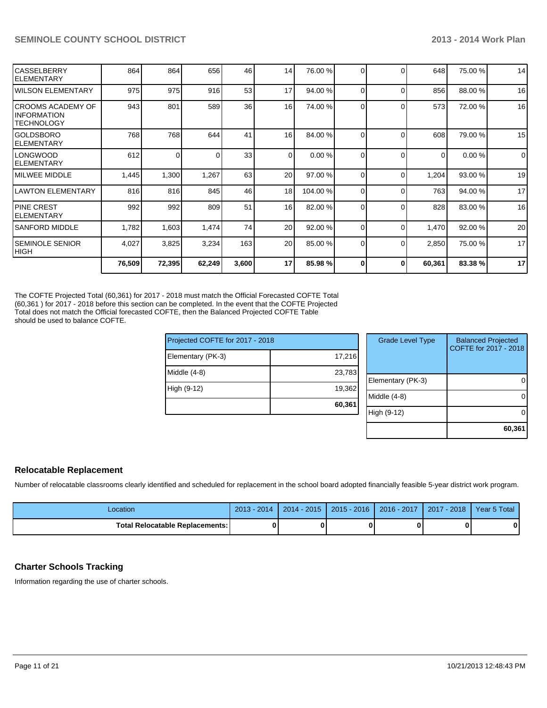|                                                         |       |       |       |                 | 17              |          |                |          |          |         | 17          |
|---------------------------------------------------------|-------|-------|-------|-----------------|-----------------|----------|----------------|----------|----------|---------|-------------|
| ISEMINOLE SENIOR<br> HIGH                               | 4,027 | 3,825 | 3,234 | 163             | 20              | 85.00 %  | 0              | $\Omega$ | 2,850    | 75.00 % | 17          |
| ISANFORD MIDDLE                                         | 1,782 | 1,603 | 1,474 | 74              | 20              | 92.00 %  | $\Omega$       | $\Omega$ | 1,470    | 92.00 % | 20          |
| <b>IPINE CREST</b><br>IELEMENTARY                       | 992   | 992   | 809   | 51              | 16 <sup>1</sup> | 82.00 %  | $\overline{0}$ | $\Omega$ | 828      | 83.00 % | 16          |
| LAWTON ELEMENTARY                                       | 816   | 816   | 845   | 46              | 18              | 104.00 % | $\Omega$       | $\Omega$ | 763      | 94.00 % | 17          |
| <b>IMILWEE MIDDLE</b>                                   | 1,445 | 1,300 | 1,267 | 63              | 20              | 97.00 %  | $\Omega$       | $\Omega$ | 1,204    | 93.00 % | 19          |
| LONGWOOD<br>IELEMENTARY                                 | 612   | ΟI    |       | 33              | $\Omega$        | 0.00 %   | 0              | $\Omega$ | $\Omega$ | 0.00%   | $\mathbf 0$ |
| IGOLDSBORO<br>IELEMENTARY                               | 768   | 768   | 644   | 41              | 16 <sup>1</sup> | 84.00 %  | 0              | $\Omega$ | 608      | 79.00 % | 15          |
| ICROOMS ACADEMY OF<br>IINFORMATION<br><b>TECHNOLOGY</b> | 943   | 801   | 589   | 36 <sup>1</sup> | 16 <sup>1</sup> | 74.00 %  | 0              | $\Omega$ | 573      | 72.00 % | 16          |
| <b>WILSON ELEMENTARY</b>                                | 975   | 975   | 916   | 53              | 17              | 94.00 %  | $\Omega$       | $\Omega$ | 856      | 88.00 % | 16          |
| ICASSELBERRY<br>IELEMENTARY                             | 864   | 864   | 656   | 46              | 14              | 76.00 %  | 0              | $\Omega$ | 648      | 75.00 % | 14          |

The COFTE Projected Total (60,361) for 2017 - 2018 must match the Official Forecasted COFTE Total (60,361 ) for 2017 - 2018 before this section can be completed. In the event that the COFTE Projected Total does not match the Official forecasted COFTE, then the Balanced Projected COFTE Table should be used to balance COFTE.

| Projected COFTE for 2017 - 2018 |        | <b>Grade Level Type</b> | <b>Balanced Projected</b><br>COFTE for 2017 - 2018 |
|---------------------------------|--------|-------------------------|----------------------------------------------------|
| Elementary (PK-3)               | 17,216 |                         |                                                    |
| Middle (4-8)                    | 23,783 |                         |                                                    |
|                                 |        | Elementary (PK-3)       |                                                    |
| High (9-12)                     | 19,362 |                         |                                                    |
|                                 |        | Middle (4-8)            |                                                    |
|                                 | 60,361 |                         |                                                    |
|                                 |        | High (9-12)             |                                                    |
|                                 |        |                         |                                                    |
|                                 |        |                         | 60,361                                             |

### **Relocatable Replacement**

Number of relocatable classrooms clearly identified and scheduled for replacement in the school board adopted financially feasible 5-year district work program.

| Location                          | $2013 - 2014$ | $2014 - 2015$ | $2015 - 2016$ | 2016 - 2017   2017 - 2018 | Year 5 Total |
|-----------------------------------|---------------|---------------|---------------|---------------------------|--------------|
| Total Relocatable Replacements: I |               |               |               |                           | 0            |

### **Charter Schools Tracking**

Information regarding the use of charter schools.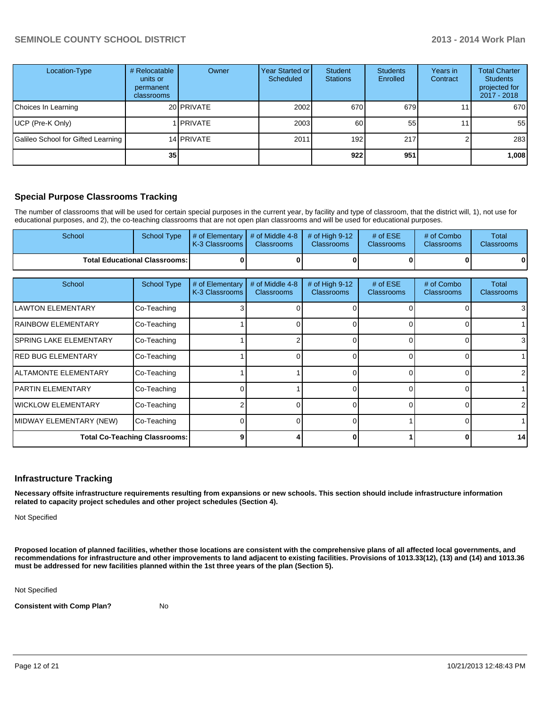| Location-Type                      | # Relocatable<br>units or<br>permanent<br>classrooms | Owner             | Year Started or I<br>Scheduled | Student<br><b>Stations</b> | <b>Students</b><br>Enrolled | Years in<br>Contract | <b>Total Charter</b><br><b>Students</b><br>projected for<br>2017 - 2018 |
|------------------------------------|------------------------------------------------------|-------------------|--------------------------------|----------------------------|-----------------------------|----------------------|-------------------------------------------------------------------------|
| Choices In Learning                |                                                      | 20 PRIVATE        | 2002                           | 670                        | 679                         |                      | 670                                                                     |
| UCP (Pre-K Only)                   |                                                      | <b>IPRIVATE</b>   | 2003                           | 60                         | 55                          |                      | 55                                                                      |
| Galileo School for Gifted Learning |                                                      | 14 <b>PRIVATE</b> | 2011                           | 192 <sub>l</sub>           | 217                         |                      | 283                                                                     |
|                                    | 351                                                  |                   |                                | 922                        | 951                         |                      | 1,008                                                                   |

### **Special Purpose Classrooms Tracking**

The number of classrooms that will be used for certain special purposes in the current year, by facility and type of classroom, that the district will, 1), not use for educational purposes, and 2), the co-teaching classrooms that are not open plan classrooms and will be used for educational purposes.

| School | School Type                            | $\parallel$ # of Elementary $\parallel$ # of Middle 4-8 $\parallel$ # of High 9-12<br><b>IK-3 Classrooms I</b> | <b>Classrooms</b> | <b>Classrooms</b> | # of $ESE$<br>Classrooms | # of Combo<br><b>Classrooms</b> | Total<br><b>Classrooms</b> |
|--------|----------------------------------------|----------------------------------------------------------------------------------------------------------------|-------------------|-------------------|--------------------------|---------------------------------|----------------------------|
|        | <b>Total Educational Classrooms: I</b> |                                                                                                                |                   |                   | 0                        |                                 | 01                         |

| School                        | <b>School Type</b>                   | # of Elementary<br>K-3 Classrooms | # of Middle 4-8<br><b>Classrooms</b> | # of High 9-12<br><b>Classrooms</b> | # of $ESE$<br><b>Classrooms</b> | # of Combo<br><b>Classrooms</b> | Total<br><b>Classrooms</b> |
|-------------------------------|--------------------------------------|-----------------------------------|--------------------------------------|-------------------------------------|---------------------------------|---------------------------------|----------------------------|
| lLAWTON ELEMENTARY            | Co-Teaching                          |                                   |                                      |                                     |                                 |                                 | 31                         |
| <b>IRAINBOW ELEMENTARY</b>    | Co-Teaching                          |                                   |                                      |                                     |                                 |                                 |                            |
| <b>SPRING LAKE ELEMENTARY</b> | Co-Teaching                          |                                   |                                      |                                     |                                 |                                 | 31                         |
| <b>IRED BUG ELEMENTARY</b>    | Co-Teaching                          |                                   |                                      |                                     |                                 |                                 |                            |
| <b>IALTAMONTE ELEMENTARY</b>  | Co-Teaching                          |                                   |                                      |                                     |                                 |                                 | 2                          |
| IPARTIN ELEMENTARY            | Co-Teaching                          |                                   |                                      |                                     |                                 |                                 |                            |
| <b>WICKLOW ELEMENTARY</b>     | Co-Teaching                          |                                   |                                      |                                     |                                 |                                 | $\mathcal{P}$              |
| MIDWAY ELEMENTARY (NEW)       | Co-Teaching                          |                                   |                                      |                                     |                                 |                                 |                            |
|                               | <b>Total Co-Teaching Classrooms:</b> |                                   |                                      |                                     |                                 |                                 | 14                         |

### **Infrastructure Tracking**

**Necessary offsite infrastructure requirements resulting from expansions or new schools. This section should include infrastructure information related to capacity project schedules and other project schedules (Section 4).**

Not Specified

**Proposed location of planned facilities, whether those locations are consistent with the comprehensive plans of all affected local governments, and recommendations for infrastructure and other improvements to land adjacent to existing facilities. Provisions of 1013.33(12), (13) and (14) and 1013.36 must be addressed for new facilities planned within the 1st three years of the plan (Section 5).**

Not Specified

**Consistent with Comp Plan?** No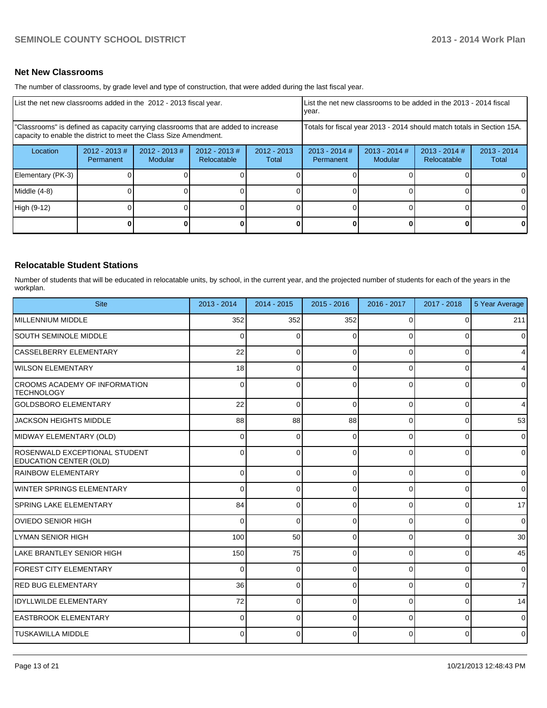### **Net New Classrooms**

The number of classrooms, by grade level and type of construction, that were added during the last fiscal year.

| List the net new classrooms added in the 2012 - 2013 fiscal year.                                                                                       |                              |                          |                                | List the net new classrooms to be added in the 2013 - 2014 fiscal<br>Ivear. |                                                                        |                            |                                |                        |
|---------------------------------------------------------------------------------------------------------------------------------------------------------|------------------------------|--------------------------|--------------------------------|-----------------------------------------------------------------------------|------------------------------------------------------------------------|----------------------------|--------------------------------|------------------------|
| "Classrooms" is defined as capacity carrying classrooms that are added to increase<br>capacity to enable the district to meet the Class Size Amendment. |                              |                          |                                |                                                                             | Totals for fiscal year 2013 - 2014 should match totals in Section 15A. |                            |                                |                        |
| Location                                                                                                                                                | $2012 - 2013$ #<br>Permanent | 2012 - 2013 #<br>Modular | $2012 - 2013$ #<br>Relocatable | $2012 - 2013$<br>Total                                                      | $2013 - 2014$ #<br>Permanent                                           | $2013 - 2014$ #<br>Modular | $2013 - 2014$ #<br>Relocatable | $2013 - 2014$<br>Total |
| Elementary (PK-3)                                                                                                                                       |                              |                          |                                |                                                                             |                                                                        |                            |                                | ΟI                     |
| Middle (4-8)                                                                                                                                            |                              |                          |                                |                                                                             |                                                                        |                            |                                | $\Omega$               |
| High (9-12)                                                                                                                                             |                              |                          |                                |                                                                             |                                                                        |                            |                                | $\Omega$               |
|                                                                                                                                                         |                              |                          |                                |                                                                             |                                                                        |                            | 0                              | $\mathbf{0}$           |

### **Relocatable Student Stations**

Number of students that will be educated in relocatable units, by school, in the current year, and the projected number of students for each of the years in the workplan.

| <b>Site</b>                                               | 2013 - 2014    | $2014 - 2015$ | $2015 - 2016$ | 2016 - 2017 | 2017 - 2018 | 5 Year Average |
|-----------------------------------------------------------|----------------|---------------|---------------|-------------|-------------|----------------|
| <b>MILLENNIUM MIDDLE</b>                                  | 352            | 352           | 352           | 0           | 0           | 211            |
| <b>SOUTH SEMINOLE MIDDLE</b>                              | $\Omega$       | $\Omega$      | 0             | O           | O           | 0              |
| CASSELBERRY ELEMENTARY                                    | 22             | $\Omega$      | 0             | $\Omega$    | 0           | 4              |
| <b>WILSON ELEMENTARY</b>                                  | 18             | $\Omega$      | 0             | $\Omega$    | $\Omega$    | 4              |
| <b>CROOMS ACADEMY OF INFORMATION</b><br><b>TECHNOLOGY</b> | 0              | O             | $\Omega$      | $\Omega$    | $\Omega$    | 0              |
| <b>GOLDSBORO ELEMENTARY</b>                               | 22             | $\Omega$      | $\Omega$      | $\Omega$    | $\Omega$    | 4              |
| <b>JACKSON HEIGHTS MIDDLE</b>                             | 88             | 88            | 88            | $\Omega$    | $\Omega$    | 53             |
| MIDWAY ELEMENTARY (OLD)                                   | $\Omega$       | $\Omega$      | $\Omega$      | $\Omega$    | $\Omega$    | $\overline{0}$ |
| ROSENWALD EXCEPTIONAL STUDENT<br>EDUCATION CENTER (OLD)   | $\Omega$       | $\Omega$      | $\Omega$      | $\Omega$    | $\Omega$    | $\overline{0}$ |
| RAINBOW ELEMENTARY                                        | $\overline{0}$ | $\Omega$      | $\Omega$      | $\Omega$    | $\Omega$    | $\overline{0}$ |
| <b>WINTER SPRINGS ELEMENTARY</b>                          | 0              | 0             | 0             | 0           | $\Omega$    | $\overline{0}$ |
| <b>SPRING LAKE ELEMENTARY</b>                             | 84             | 0             | $\Omega$      | $\Omega$    | $\Omega$    | 17             |
| IOVIEDO SENIOR HIGH                                       | 0              | $\Omega$      | $\Omega$      | $\Omega$    | $\Omega$    | $\overline{0}$ |
| LYMAN SENIOR HIGH                                         | 100            | 50            | 0             | $\Omega$    | 0           | 30             |
| LAKE BRANTLEY SENIOR HIGH                                 | 150            | 75            | 0             | $\Omega$    | $\Omega$    | 45             |
| <b>FOREST CITY ELEMENTARY</b>                             | 0              | $\Omega$      | $\Omega$      | $\Omega$    | $\Omega$    | 0              |
| <b>RED BUG ELEMENTARY</b>                                 | 36             | $\Omega$      | $\Omega$      | $\Omega$    | 0           | $\overline{7}$ |
| <b>IDYLLWILDE ELEMENTARY</b>                              | 72             | $\Omega$      | $\Omega$      | $\Omega$    | 0           | 14             |
| <b>EASTBROOK ELEMENTARY</b>                               | 0              | U             | O             | ∩           | $\Omega$    | 0              |
| <b>TUSKAWILLA MIDDLE</b>                                  | 0              | U             | 0             | $\Omega$    | $\Omega$    | 0              |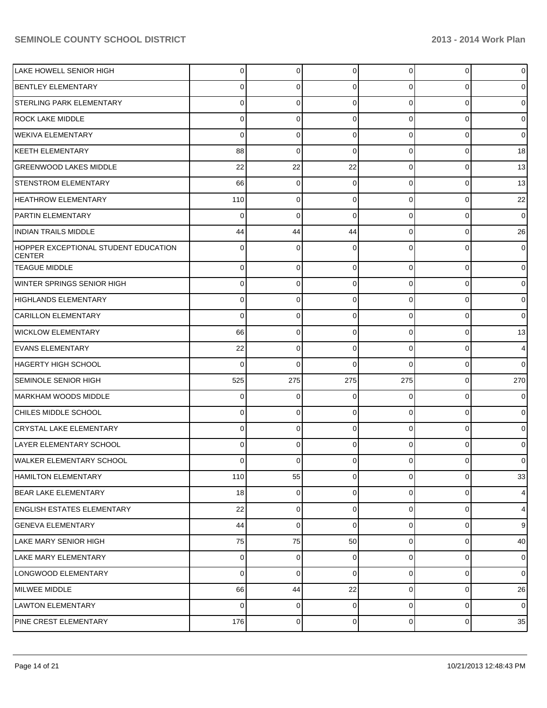| LAKE HOWELL SENIOR HIGH                               | $\Omega$ | 0           | 0           | $\Omega$       | 0           | $\overline{0}$ |
|-------------------------------------------------------|----------|-------------|-------------|----------------|-------------|----------------|
| <b>BENTLEY ELEMENTARY</b>                             | 0        | 0           | 0           | 0              | 0           | $\overline{0}$ |
| STERLING PARK ELEMENTARY                              | 0        | 0           | 0           | $\Omega$       | 0           | $\overline{0}$ |
| <b>ROCK LAKE MIDDLE</b>                               | 0        | 0           | 0           | $\Omega$       | 0           | $\overline{0}$ |
| <b>WEKIVA ELEMENTARY</b>                              | 0        | 0           | 0           | $\Omega$       | 0           | $\overline{0}$ |
| KEETH ELEMENTARY                                      | 88       | $\mathbf 0$ | 0           | $\Omega$       | 0           | 18             |
| <b>GREENWOOD LAKES MIDDLE</b>                         | 22       | 22          | 22          | $\Omega$       | $\mathbf 0$ | 13             |
| <b>STENSTROM ELEMENTARY</b>                           | 66       | 0           | 0           | $\Omega$       | 0           | 13             |
| <b>HEATHROW ELEMENTARY</b>                            | 110      | 0           | 0           | $\Omega$       | 0           | 22             |
| <b>PARTIN ELEMENTARY</b>                              | 0        | $\mathbf 0$ | 0           | $\Omega$       | $\mathbf 0$ | $\overline{0}$ |
| <b>INDIAN TRAILS MIDDLE</b>                           | 44       | 44          | 44          | $\Omega$       | 0           | 26             |
| HOPPER EXCEPTIONAL STUDENT EDUCATION<br><b>CENTER</b> | 0        | 0           | 0           | U              | 0           | $\overline{0}$ |
| <b>TEAGUE MIDDLE</b>                                  | 0        | 0           | 0           | $\overline{0}$ | 0           | $\overline{0}$ |
| WINTER SPRINGS SENIOR HIGH                            | 0        | 0           | 0           | $\overline{0}$ | 0           | $\overline{0}$ |
| HIGHLANDS ELEMENTARY                                  | 0        | 0           | 0           | $\overline{0}$ | 0           | $\overline{0}$ |
| <b>CARILLON ELEMENTARY</b>                            | 0        | 0           | 0           | $\overline{0}$ | 0           | $\overline{0}$ |
| <b>WICKLOW ELEMENTARY</b>                             | 66       | 0           | 0           | $\overline{0}$ | $\mathbf 0$ | 13             |
| <b>EVANS ELEMENTARY</b>                               | 22       | 0           | 0           | $\Omega$       | 0           | $\overline{4}$ |
| HAGERTY HIGH SCHOOL                                   | 0        | $\mathbf 0$ | 0           | $\Omega$       | 0           | $\overline{0}$ |
| <b>SEMINOLE SENIOR HIGH</b>                           | 525      | 275         | 275         | 275            | $\mathbf 0$ | 270            |
| MARKHAM WOODS MIDDLE                                  | 0        | 0           | 0           | $\overline{0}$ | $\mathbf 0$ | $\overline{0}$ |
| CHILES MIDDLE SCHOOL                                  | 0        | 0           | 0           | $\Omega$       | 0           | $\overline{0}$ |
| CRYSTAL LAKE ELEMENTARY                               | 0        | 0           | 0           | $\overline{0}$ | $\mathbf 0$ | $\overline{0}$ |
| LAYER ELEMENTARY SCHOOL                               | 0        | 0           | 0           | $\Omega$       | 0           | $\overline{0}$ |
| <b>WALKER ELEMENTARY SCHOOL</b>                       | 0        | 0           | 0           | 01             | $\mathbf 0$ | $\overline{0}$ |
| <b>HAMILTON ELEMENTARY</b>                            | 110      | 55          | 0           | $\overline{0}$ | $\mathbf 0$ | 33             |
| <b>BEAR LAKE ELEMENTARY</b>                           | 18       | $\mathbf 0$ | $\mathbf 0$ | $\overline{0}$ | $\mathbf 0$ | $\overline{4}$ |
| <b>ENGLISH ESTATES ELEMENTARY</b>                     | 22       | 0           | 0           | $\overline{0}$ | $\mathbf 0$ | $\overline{4}$ |
| <b>GENEVA ELEMENTARY</b>                              | 44       | $\mathbf 0$ | 0           | $\overline{0}$ | $\mathbf 0$ | $\overline{9}$ |
| LAKE MARY SENIOR HIGH                                 | 75       | 75          | 50          | $\overline{0}$ | $\mathbf 0$ | 40             |
| LAKE MARY ELEMENTARY                                  | $\Omega$ | 0           | 0           | $\overline{0}$ | $\mathbf 0$ | $\overline{0}$ |
| LONGWOOD ELEMENTARY                                   | $\Omega$ | 0           | 0           | $\overline{0}$ | $\mathbf 0$ | $\overline{0}$ |
| MILWEE MIDDLE                                         | 66       | 44          | 22          | $\overline{0}$ | $\mathbf 0$ | 26             |
| LAWTON ELEMENTARY                                     | $\Omega$ | 0           | 0           | $\overline{0}$ | $\mathbf 0$ | $\overline{0}$ |
| PINE CREST ELEMENTARY                                 | 176      | $\pmb{0}$   | 0           | $\overline{0}$ | $\pmb{0}$   | 35             |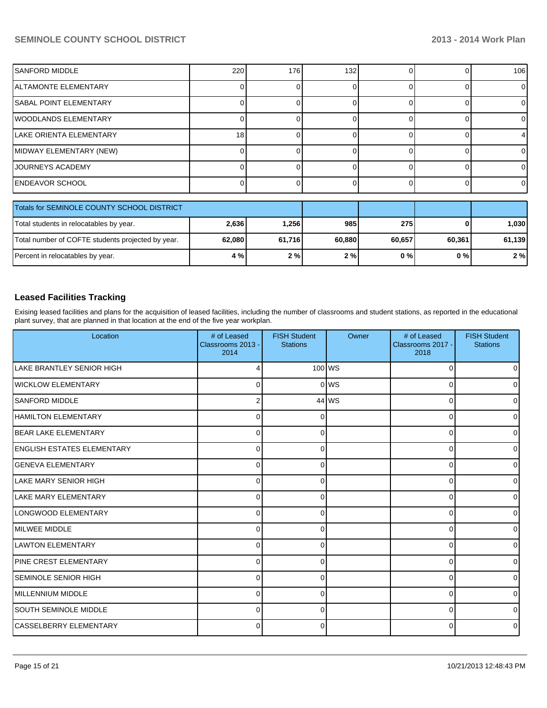### **SEMINOLE COUNTY SCHOOL DISTRICT 2013 - 2014 Work Plan**

| <b>SANFORD MIDDLE</b>         | 220 | 176 | 132 <sub>1</sub> |  | 106      |
|-------------------------------|-----|-----|------------------|--|----------|
| ALTAMONTE ELEMENTARY          |     |     |                  |  |          |
| <b>SABAL POINT ELEMENTARY</b> |     |     |                  |  |          |
| WOODLANDS ELEMENTARY          |     |     |                  |  |          |
| LAKE ORIENTA ELEMENTARY       | 18  |     |                  |  |          |
| MIDWAY ELEMENTARY (NEW)       |     |     |                  |  |          |
| JOURNEYS ACADEMY              |     |     |                  |  |          |
| <b>ENDEAVOR SCHOOL</b>        |     |     |                  |  | $\Omega$ |

| Totals for SEMINOLE COUNTY SCHOOL DISTRICT        |        |         |        |        |        |        |
|---------------------------------------------------|--------|---------|--------|--------|--------|--------|
| Total students in relocatables by year.           | 2,636  | ا 256.1 | 985    | 275    |        | 1.030  |
| Total number of COFTE students projected by year. | 62,080 | 61,716  | 60.880 | 60.657 | 60.361 | 61,139 |
| Percent in relocatables by year.                  | 4 %    | 2%      | 2%     | 0 % I  | 0 % l  | 2%     |

### **Leased Facilities Tracking**

Exising leased facilities and plans for the acquisition of leased facilities, including the number of classrooms and student stations, as reported in the educational plant survey, that are planned in that location at the end of the five year workplan.

| Location                         | # of Leased<br>Classrooms 2013 -<br>2014 | <b>FISH Student</b><br><b>Stations</b> | Owner    | # of Leased<br>Classrooms 2017 -<br>2018 | <b>FISH Student</b><br><b>Stations</b> |
|----------------------------------|------------------------------------------|----------------------------------------|----------|------------------------------------------|----------------------------------------|
| <b>LAKE BRANTLEY SENIOR HIGH</b> | Δ                                        |                                        | $100$ WS | $\Omega$                                 | $\overline{0}$                         |
| <b>WICKLOW ELEMENTARY</b>        | 0                                        |                                        | $0$ MS   | $\Omega$                                 | $\overline{0}$                         |
| <b>SANFORD MIDDLE</b>            |                                          |                                        | $44$ WS  | $\Omega$                                 | $\overline{0}$                         |
| <b>HAMILTON ELEMENTARY</b>       | $\Omega$                                 |                                        |          | $\Omega$                                 | $\overline{0}$                         |
| BEAR LAKE ELEMENTARY             | $\Omega$                                 | U                                      |          | $\Omega$                                 | $\overline{0}$                         |
| ENGLISH ESTATES ELEMENTARY       | $\Omega$                                 | ∩                                      |          | $\Omega$                                 | $\overline{0}$                         |
| <b>IGENEVA ELEMENTARY</b>        | $\Omega$                                 | U                                      |          | $\Omega$                                 | $\overline{0}$                         |
| <b>LAKE MARY SENIOR HIGH</b>     | $\Omega$                                 |                                        |          | $\Omega$                                 | $\overline{0}$                         |
| LAKE MARY ELEMENTARY             | $\Omega$                                 | U                                      |          | $\Omega$                                 | $\overline{0}$                         |
| LONGWOOD ELEMENTARY              | $\Omega$                                 | $\Omega$                               |          | $\Omega$                                 | $\overline{0}$                         |
| <b>I</b> MILWEE MIDDLE           | $\Omega$                                 | ∩                                      |          | $\Omega$                                 | $\overline{0}$                         |
| LAWTON ELEMENTARY                | $\Omega$                                 | ∩                                      |          | $\Omega$                                 | $\overline{0}$                         |
| <b>PINE CREST ELEMENTARY</b>     | $\Omega$                                 | ∩                                      |          | $\Omega$                                 | $\overline{0}$                         |
| ISEMINOLE SENIOR HIGH            | $\Omega$                                 | ∩                                      |          | $\Omega$                                 | $\overline{0}$                         |
| MILLENNIUM MIDDLE                | $\Omega$                                 | ∩                                      |          | $\Omega$                                 | $\overline{0}$                         |
| <b>ISOUTH SEMINOLE MIDDLE</b>    | $\Omega$                                 |                                        |          | $\Omega$                                 | $\overline{0}$                         |
| CASSELBERRY ELEMENTARY           | $\Omega$                                 | ∩                                      |          | $\Omega$                                 | $\overline{0}$                         |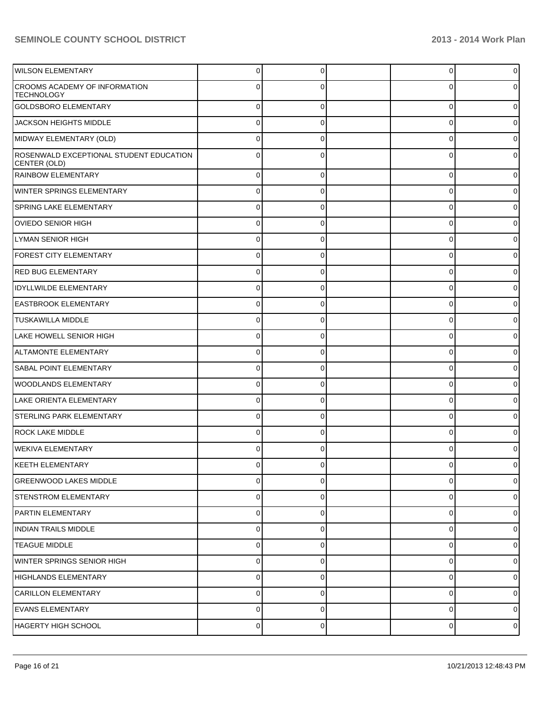### **SEMINOLE COUNTY SCHOOL DISTRICT 2013 - 2014 Work Plan**

| <b>WILSON ELEMENTARY</b>                                | $\Omega$       | $\Omega$       | 0        | $\overline{0}$ |
|---------------------------------------------------------|----------------|----------------|----------|----------------|
| CROOMS ACADEMY OF INFORMATION<br><b>TECHNOLOGY</b>      | 0              |                |          | $\overline{0}$ |
| <b>GOLDSBORO ELEMENTARY</b>                             | $\Omega$       | $\Omega$       | 0        | $\overline{0}$ |
| JACKSON HEIGHTS MIDDLE                                  | $\Omega$       | $\Omega$       | 0        | $\mathbf 0$    |
| MIDWAY ELEMENTARY (OLD)                                 | $\Omega$       | $\Omega$       | 0        | $\overline{0}$ |
| ROSENWALD EXCEPTIONAL STUDENT EDUCATION<br>CENTER (OLD) | $\Omega$       | $\Omega$       | C        | $\overline{0}$ |
| <b>RAINBOW ELEMENTARY</b>                               | $\overline{0}$ | $\Omega$       | 0        | $\mathbf 0$    |
| <b>WINTER SPRINGS ELEMENTARY</b>                        | 0              | $\Omega$       | 0        | $\overline{0}$ |
| SPRING LAKE ELEMENTARY                                  | 0              | $\Omega$       | 0        | $\overline{0}$ |
| OVIEDO SENIOR HIGH                                      | 0              | 0              | 0        | 0              |
| LYMAN SENIOR HIGH                                       | 0              | $\Omega$       | 0        | $\overline{0}$ |
| <b>FOREST CITY ELEMENTARY</b>                           | 0              | 0              | 0        | 0              |
| <b>RED BUG ELEMENTARY</b>                               | $\overline{0}$ | 0              | $\Omega$ | $\overline{0}$ |
| <b>IDYLLWILDE ELEMENTARY</b>                            | 0              | 0              | 0        | 0              |
| <b>EASTBROOK ELEMENTARY</b>                             | $\overline{0}$ | 0              | $\Omega$ | $\overline{0}$ |
| <b>TUSKAWILLA MIDDLE</b>                                | 0              | 0              | 0        | 0              |
| LAKE HOWELL SENIOR HIGH                                 | 0              | $\Omega$       | $\Omega$ | $\overline{0}$ |
| ALTAMONTE ELEMENTARY                                    | 0              | 0              | 0        | 0              |
| <b>SABAL POINT ELEMENTARY</b>                           | 0              | $\Omega$       | 0        | $\overline{0}$ |
| WOODLANDS ELEMENTARY                                    | 0              | 0              | 0        | 0              |
| LAKE ORIENTA ELEMENTARY                                 | 0              | $\Omega$       | 0        | $\overline{0}$ |
| STERLING PARK ELEMENTARY                                | $\Omega$       | 0              | 0        | 0              |
| <b>ROCK LAKE MIDDLE</b>                                 | $\Omega$       | $\Omega$       | C        | 0              |
| WEKIVA ELEMENTARY                                       | 0              | 0              |          | 0              |
| KEETH ELEMENTARY                                        | U              |                |          |                |
| GREENWOOD LAKES MIDDLE                                  | $\overline{0}$ | $\Omega$       | 0        | $\overline{0}$ |
| STENSTROM ELEMENTARY                                    | $\overline{0}$ | 0              | 0        | $\overline{0}$ |
| PARTIN ELEMENTARY                                       | $\overline{0}$ | $\mathbf 0$    | 0        | $\overline{0}$ |
| INDIAN TRAILS MIDDLE                                    | $\overline{0}$ | 0              | 0        | $\overline{0}$ |
| <b>TEAGUE MIDDLE</b>                                    | $\overline{0}$ | $\mathbf 0$    | 0        | $\overline{0}$ |
| WINTER SPRINGS SENIOR HIGH                              | $\overline{0}$ | 0              | 0        | $\overline{0}$ |
| HIGHLANDS ELEMENTARY                                    | $\overline{0}$ | $\mathbf 0$    | 0        | $\overline{0}$ |
| CARILLON ELEMENTARY                                     | $\overline{0}$ | 0              | 0        | $\overline{0}$ |
| <b>EVANS ELEMENTARY</b>                                 | $\overline{0}$ | $\mathbf 0$    | 0        | $\overline{0}$ |
| HAGERTY HIGH SCHOOL                                     | $\overline{0}$ | $\overline{0}$ | 0        | $\overline{0}$ |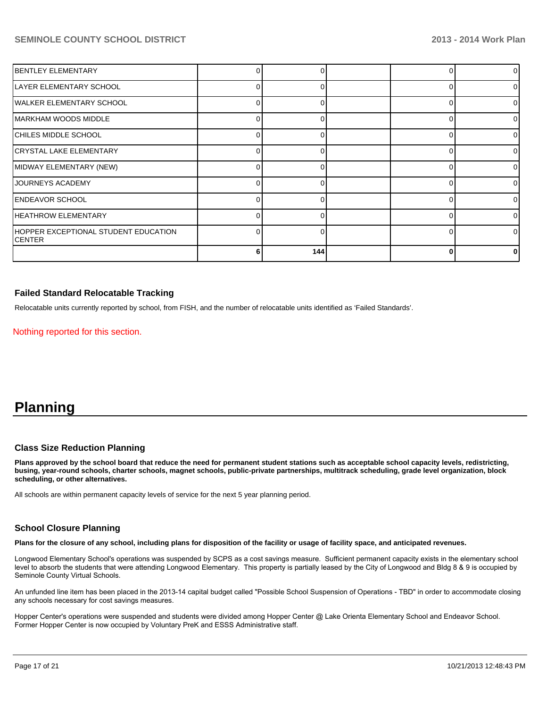### **SEMINOLE COUNTY SCHOOL DISTRICT 2013 - 2014 Work Plan**

| <b>IBENTLEY ELEMENTARY</b>                             |     |  | $\Omega$ |
|--------------------------------------------------------|-----|--|----------|
| LAYER ELEMENTARY SCHOOL                                |     |  | $\Omega$ |
| WALKER ELEMENTARY SCHOOL                               |     |  | $\Omega$ |
| IMARKHAM WOODS MIDDLE                                  |     |  | $\Omega$ |
| CHILES MIDDLE SCHOOL                                   |     |  | ΩI       |
| CRYSTAL LAKE ELEMENTARY                                |     |  | ΩI       |
| MIDWAY ELEMENTARY (NEW)                                |     |  | ΩI       |
| JOURNEYS ACADEMY                                       |     |  | 0        |
| <b>ENDEAVOR SCHOOL</b>                                 |     |  | 0        |
| <b>HEATHROW ELEMENTARY</b>                             |     |  | n.       |
| HOPPER EXCEPTIONAL STUDENT EDUCATION<br><b>ICENTER</b> |     |  | 0        |
|                                                        | 144 |  |          |

### **Failed Standard Relocatable Tracking**

Relocatable units currently reported by school, from FISH, and the number of relocatable units identified as 'Failed Standards'.

Nothing reported for this section.

## **Planning**

### **Class Size Reduction Planning**

**Plans approved by the school board that reduce the need for permanent student stations such as acceptable school capacity levels, redistricting, busing, year-round schools, charter schools, magnet schools, public-private partnerships, multitrack scheduling, grade level organization, block scheduling, or other alternatives.**

All schools are within permanent capacity levels of service for the next 5 year planning period.

#### **School Closure Planning**

**Plans for the closure of any school, including plans for disposition of the facility or usage of facility space, and anticipated revenues.**

Longwood Elementary School's operations was suspended by SCPS as a cost savings measure. Sufficient permanent capacity exists in the elementary school level to absorb the students that were attending Longwood Elementary. This property is partially leased by the City of Longwood and Bldg 8 & 9 is occupied by Seminole County Virtual Schools.

An unfunded line item has been placed in the 2013-14 capital budget called "Possible School Suspension of Operations - TBD" in order to accommodate closing any schools necessary for cost savings measures.

Hopper Center's operations were suspended and students were divided among Hopper Center @ Lake Orienta Elementary School and Endeavor School. Former Hopper Center is now occupied by Voluntary PreK and ESSS Administrative staff.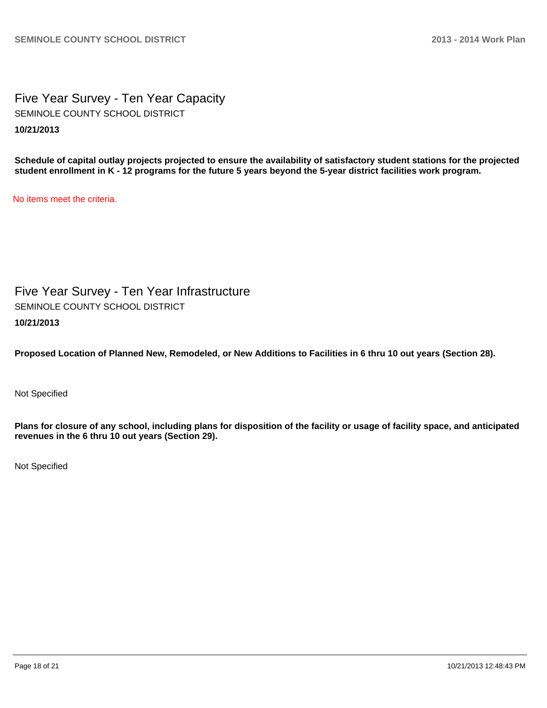Five Year Survey - Ten Year Capacity **10/21/2013** SEMINOLE COUNTY SCHOOL DISTRICT

**Schedule of capital outlay projects projected to ensure the availability of satisfactory student stations for the projected student enrollment in K - 12 programs for the future 5 years beyond the 5-year district facilities work program.**

No items meet the criteria.

Five Year Survey - Ten Year Infrastructure **10/21/2013** SEMINOLE COUNTY SCHOOL DISTRICT

**Proposed Location of Planned New, Remodeled, or New Additions to Facilities in 6 thru 10 out years (Section 28).**

Not Specified

**Plans for closure of any school, including plans for disposition of the facility or usage of facility space, and anticipated revenues in the 6 thru 10 out years (Section 29).**

Not Specified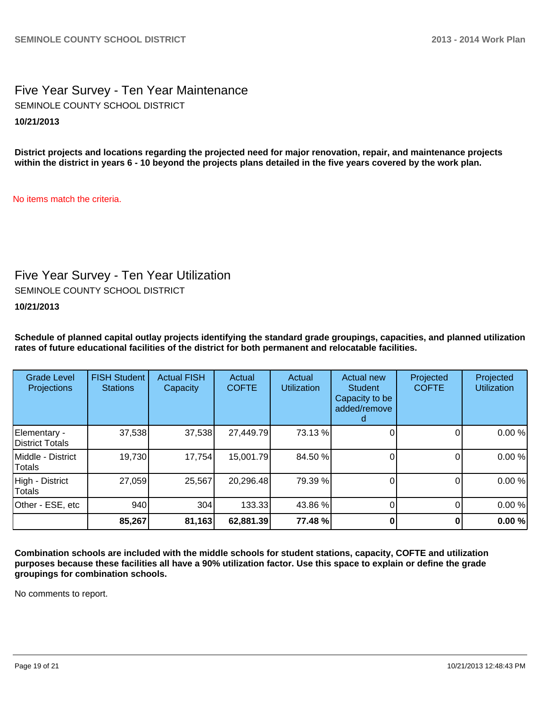Five Year Survey - Ten Year Maintenance **10/21/2013** SEMINOLE COUNTY SCHOOL DISTRICT

**District projects and locations regarding the projected need for major renovation, repair, and maintenance projects within the district in years 6 - 10 beyond the projects plans detailed in the five years covered by the work plan.**

No items match the criteria.

### Five Year Survey - Ten Year Utilization

SEMINOLE COUNTY SCHOOL DISTRICT

**10/21/2013**

**Schedule of planned capital outlay projects identifying the standard grade groupings, capacities, and planned utilization rates of future educational facilities of the district for both permanent and relocatable facilities.**

| <b>Grade Level</b><br>Projections | <b>FISH Student</b><br><b>Stations</b> | <b>Actual FISH</b><br>Capacity | Actual<br><b>COFTE</b> | Actual<br><b>Utilization</b> | Actual new<br><b>Student</b><br>Capacity to be<br>added/remove | Projected<br><b>COFTE</b> | Projected<br><b>Utilization</b> |
|-----------------------------------|----------------------------------------|--------------------------------|------------------------|------------------------------|----------------------------------------------------------------|---------------------------|---------------------------------|
| Elementary -<br>District Totals   | 37,538                                 | 37,538                         | 27,449.79              | 73.13 %                      |                                                                |                           | 0.00%                           |
| Middle - District<br>Totals       | 19,730                                 | 17,754                         | 15,001.79              | 84.50 %                      |                                                                |                           | 0.00%                           |
| High - District<br>Totals         | 27,059                                 | 25,567                         | 20,296.48              | 79.39 %                      |                                                                | $\Omega$                  | 0.00%                           |
| Other - ESE, etc                  | 940                                    | 304                            | 133.33                 | 43.86 %                      |                                                                |                           | 0.00%                           |
|                                   | 85,267                                 | 81,163                         | 62,881.39              | 77.48 %                      |                                                                |                           | 0.00%                           |

**Combination schools are included with the middle schools for student stations, capacity, COFTE and utilization purposes because these facilities all have a 90% utilization factor. Use this space to explain or define the grade groupings for combination schools.**

No comments to report.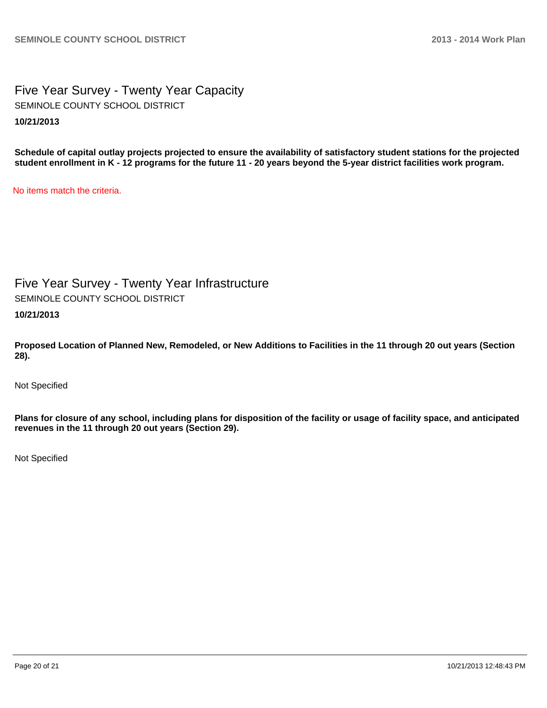Five Year Survey - Twenty Year Capacity **10/21/2013** SEMINOLE COUNTY SCHOOL DISTRICT

**Schedule of capital outlay projects projected to ensure the availability of satisfactory student stations for the projected student enrollment in K - 12 programs for the future 11 - 20 years beyond the 5-year district facilities work program.**

No items match the criteria.

Five Year Survey - Twenty Year Infrastructure SEMINOLE COUNTY SCHOOL DISTRICT

**10/21/2013**

**Proposed Location of Planned New, Remodeled, or New Additions to Facilities in the 11 through 20 out years (Section 28).**

Not Specified

**Plans for closure of any school, including plans for disposition of the facility or usage of facility space, and anticipated revenues in the 11 through 20 out years (Section 29).**

Not Specified